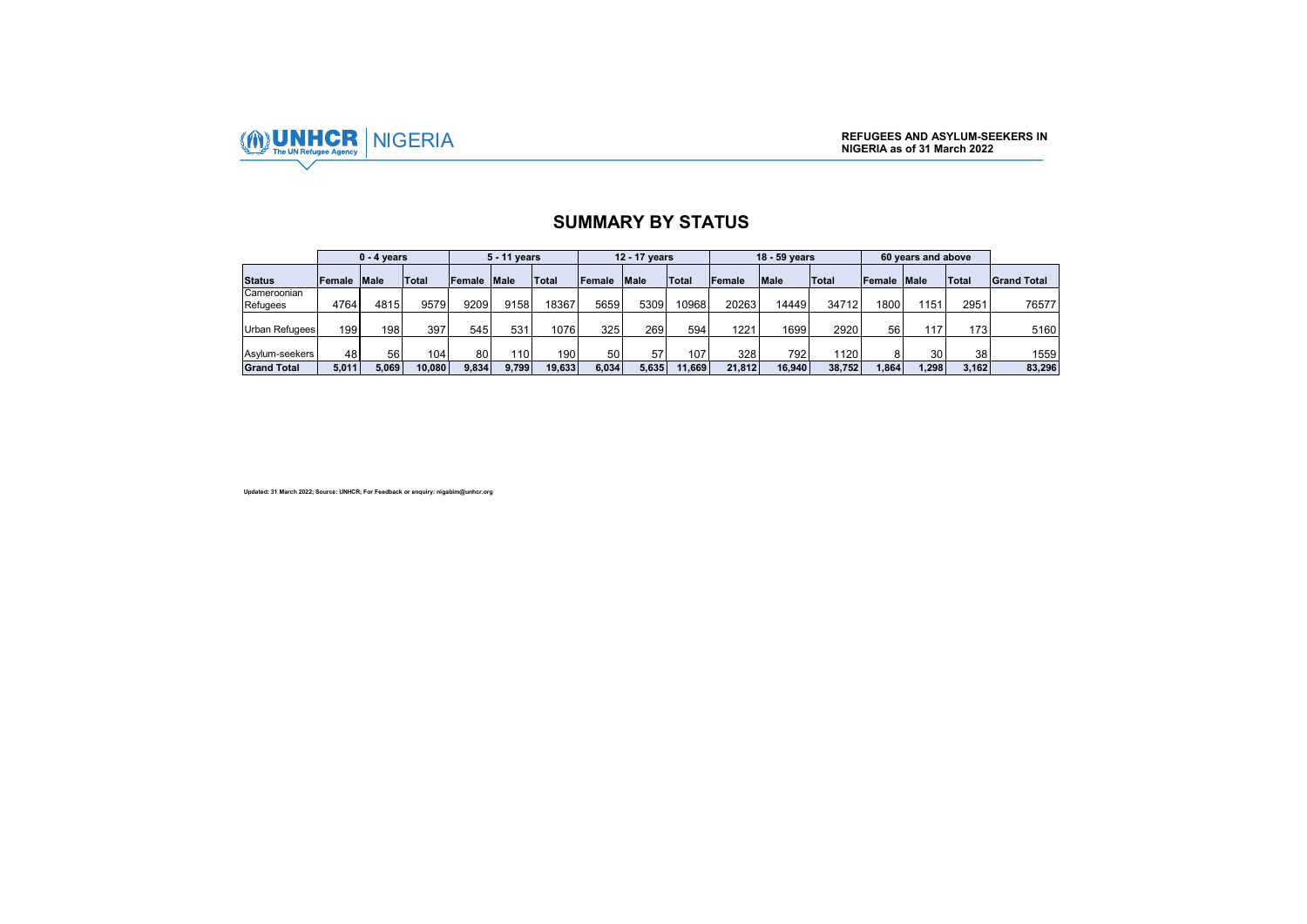

## **SUMMARY BY STATUS**

|                         |             | $0 - 4$ vears |                  |             | 5 - 11 years |        |        | 12 - 17 vears |                  |        | 18 - 59 years |              |        | 60 years and above |                 |                    |
|-------------------------|-------------|---------------|------------------|-------------|--------------|--------|--------|---------------|------------------|--------|---------------|--------------|--------|--------------------|-----------------|--------------------|
| <b>Status</b>           | Female Male |               | <b>Total</b>     | Female Male |              | Total  | Female | <b>Male</b>   | <b>Total</b>     | Female | <b>Male</b>   | <b>Total</b> | Female | <b>Male</b>        | <b>Total</b>    | <b>Grand Total</b> |
| Cameroonian<br>Refugees | 4764        | 4815          | 9579             | 9209        | 9158         | 18367  | 5659   | 5309          | 10968            | 202631 | 14449         | 347121       | 1800   | 1151               | 2951            | 76577              |
|                         |             |               |                  |             |              |        |        |               |                  |        |               |              |        |                    |                 |                    |
| <b>Urban Refugees</b>   | 199         | 1981          | 397              | 545         | 531          | 1076   | 325    | 269           | 594              | 1221   | 1699          | 2920         | 56     | 117                | 173             | 5160               |
| Asylum-seekers          | 48          | 56            | 104 <sub>1</sub> | 80          | 110          | 190    | 50     | 57            | 107 <sub>1</sub> | 328    | 792           | 1120         | 8      | 30                 | 38 <sub>l</sub> | 1559               |
| <b>Grand Total</b>      | 5.011       | 5.069         | 10.080           | 9.834       | 9.799        | 19.633 | 6.034  | 5.635         | 11.669           | 21.812 | 16.940        | 38.752       | 1.864  | .298               | 3.162           | 83,296             |

**Updated: 31 March 2022; Source: UNHCR; For Feedback or enquiry: nigabim@unhcr.org**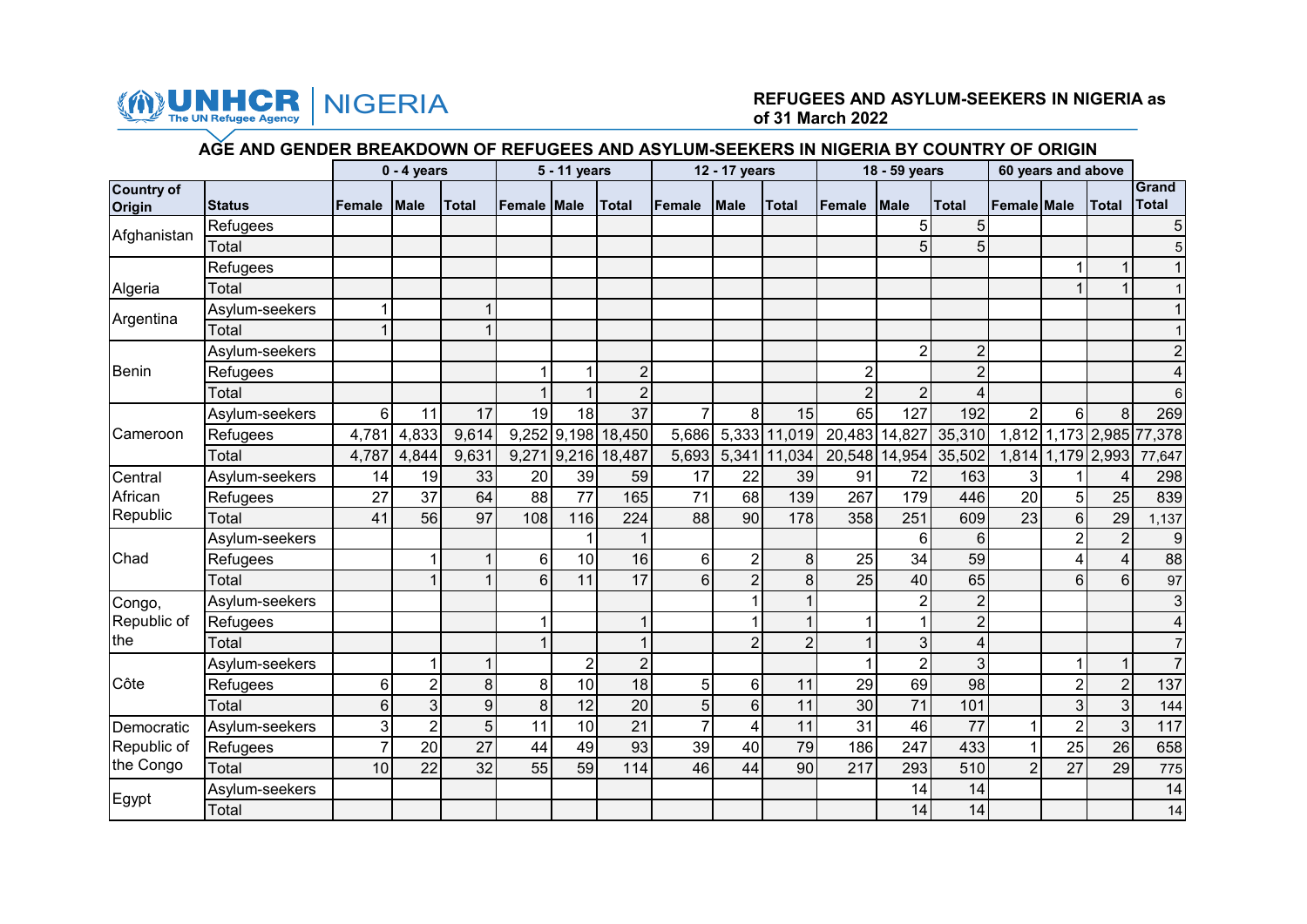

### The UN Refugee Agency **NIGERIA** REFUGEES AND ASYLUM-SEEKERS IN NIGERIA as of 31 March 2022 **of 31 March 2022**

#### **AGE AND GENDER BREAKDOWN OF REFUGEES AND ASYLUM-SEEKERS IN NIGERIA BY COUNTRY OF ORIGIN**

|                             |                |                 | $0 - 4$ years  |                |                    | 5 - 11 years   |                    |                | 12 - 17 years  |                |                | 18 - 59 years   |                         |                    | 60 years and above |                         |                          |
|-----------------------------|----------------|-----------------|----------------|----------------|--------------------|----------------|--------------------|----------------|----------------|----------------|----------------|-----------------|-------------------------|--------------------|--------------------|-------------------------|--------------------------|
| <b>Country of</b><br>Origin | <b>Status</b>  | Female          | <b>IMale</b>   | <b>Total</b>   | <b>Female Male</b> |                | <b>Total</b>       | Female         | <b>Male</b>    | <b>Total</b>   | Female         | <b>Male</b>     | <b>Total</b>            | <b>Female Male</b> |                    | <b>Total</b>            | Grand<br><b>Total</b>    |
|                             | Refugees       |                 |                |                |                    |                |                    |                |                |                |                | 5               | 5                       |                    |                    |                         | 5                        |
| Afghanistan                 | Total          |                 |                |                |                    |                |                    |                |                |                |                | 5               | 5                       |                    |                    |                         | 5                        |
|                             | Refugees       |                 |                |                |                    |                |                    |                |                |                |                |                 |                         |                    |                    | $\mathbf 1$             |                          |
| Algeria                     | Total          |                 |                |                |                    |                |                    |                |                |                |                |                 |                         |                    |                    |                         |                          |
|                             | Asylum-seekers |                 |                | 1              |                    |                |                    |                |                |                |                |                 |                         |                    |                    |                         |                          |
| Argentina                   | Total          |                 |                | 1              |                    |                |                    |                |                |                |                |                 |                         |                    |                    |                         |                          |
|                             | Asylum-seekers |                 |                |                |                    |                |                    |                |                |                |                | $\overline{2}$  | $\overline{2}$          |                    |                    |                         | $\overline{2}$           |
| Benin                       | Refugees       |                 |                |                |                    |                | $\overline{2}$     |                |                |                | $\overline{2}$ |                 | $\overline{2}$          |                    |                    |                         |                          |
|                             | Total          |                 |                |                |                    |                | $\overline{2}$     |                |                |                | $\overline{2}$ | $\overline{2}$  | 4                       |                    |                    |                         | 6                        |
|                             | Asylum-seekers | 6               | 11             | 17             | 19                 | 18             | 37                 | $\overline{7}$ | 8 <sup>1</sup> | 15             | 65             | 127             | 192                     | $\overline{2}$     | $6 \mid$           | 8                       | 269                      |
| Cameroon                    | Refugees       | 4,781           | 4,833          | 9,614          |                    |                | 9,252 9,198 18,450 | 5,686          |                | 5,333 11,019   |                | 20,483 14,827   | 35,310                  |                    |                    |                         | 1,812 1,173 2,985 77,378 |
|                             | Total          | 4,787           | 4,844          | 9,631          |                    |                | 9,271 9,216 18,487 | 5,693          |                | 5,341 11,034   | 20,548         | 14,954          | 35,502                  |                    |                    | 1,814 1,179 2,993       | 77,647                   |
| Central                     | Asylum-seekers | 14              | 19             | 33             | 20                 | 39             | 59                 | 17             | 22             | 39             | 91             | 72              | 163                     | $\overline{3}$     |                    | 4                       | 298                      |
| African                     | Refugees       | 27              | 37             | 64             | 88                 | 77             | 165                | 71             | 68             | 139            | 267            | 179             | 446                     | 20                 | 5 <sub>l</sub>     | 25                      | 839                      |
| Republic                    | Total          | 41              | 56             | 97             | 108                | 116            | 224                | 88             | 90             | 178            | 358            | 251             | 609                     | 23                 | $6 \mid$           | 29                      | 1,137                    |
|                             | Asylum-seekers |                 |                |                |                    |                |                    |                |                |                |                | $6\phantom{1}$  | 6                       |                    | 2                  | 2 <sub>1</sub>          | 9                        |
| Chad                        | Refugees       |                 |                | $\mathbf 1$    | $6\phantom{1}6$    | 10             | 16                 | 6              | $\overline{2}$ | 8              | 25             | 34              | 59                      |                    |                    | $\overline{\mathbf{4}}$ | $\overline{88}$          |
|                             | Total          |                 | 1              | $\mathbf{1}$   | $6\phantom{1}6$    | 11             | 17                 | 6              | $\overline{2}$ | 8              | 25             | 40              | 65                      |                    | 6                  | 6                       | 97                       |
| Congo,                      | Asylum-seekers |                 |                |                |                    |                |                    |                |                | $\mathbf{1}$   |                | $\overline{2}$  | $\overline{2}$          |                    |                    |                         | 3                        |
| Republic of                 | Refugees       |                 |                |                |                    |                |                    |                |                | $\mathbf{1}$   |                | $\mathbf{1}$    | $\overline{2}$          |                    |                    |                         | 4                        |
| the                         | Total          |                 |                |                |                    |                |                    |                | $\overline{2}$ | $\overline{2}$ |                | 3               | $\overline{\mathbf{4}}$ |                    |                    |                         | $\overline{7}$           |
|                             | Asylum-seekers |                 | $\mathbf 1$    | $\mathbf{1}$   |                    | $\overline{2}$ | $\overline{2}$     |                |                |                |                | $\overline{2}$  | 3                       |                    |                    | $\mathbf{1}$            | $\overline{7}$           |
| Côte                        | Refugees       | 6               | $\overline{2}$ | 8              | 8                  | 10             | 18                 | 5              | 6 <sup>1</sup> | 11             | 29             | 69              | 98                      |                    |                    | $\overline{2}$          | 137                      |
|                             | Total          | $6\phantom{1}6$ | 3              | $\overline{9}$ | 8                  | 12             | 20                 | 5              | 6 <sup>1</sup> | 11             | 30             | $\overline{71}$ | 101                     |                    | 3                  | 3                       | 144                      |
| Democratic                  | Asylum-seekers | 3               | $\overline{2}$ | 5              | 11                 | 10             | 21                 | $\overline{7}$ | 4              | 11             | 31             | 46              | 77                      | $\mathbf{1}$       |                    | 3                       | 117                      |
| Republic of                 | Refugees       |                 | 20             | 27             | 44                 | 49             | 93                 | 39             | 40             | 79             | 186            | 247             | 433                     | $\mathbf{1}$       | 25                 | 26                      | 658                      |
| the Congo                   | Total          | 10              | 22             | 32             | 55                 | 59             | 114                | 46             | 44             | 90             | 217            | 293             | 510                     | $\overline{2}$     | 27                 | 29                      | 775                      |
| Egypt                       | Asylum-seekers |                 |                |                |                    |                |                    |                |                |                |                | 14              | 14                      |                    |                    |                         | 14                       |
|                             | Total          |                 |                |                |                    |                |                    |                |                |                |                | 14              | 14                      |                    |                    |                         | 14                       |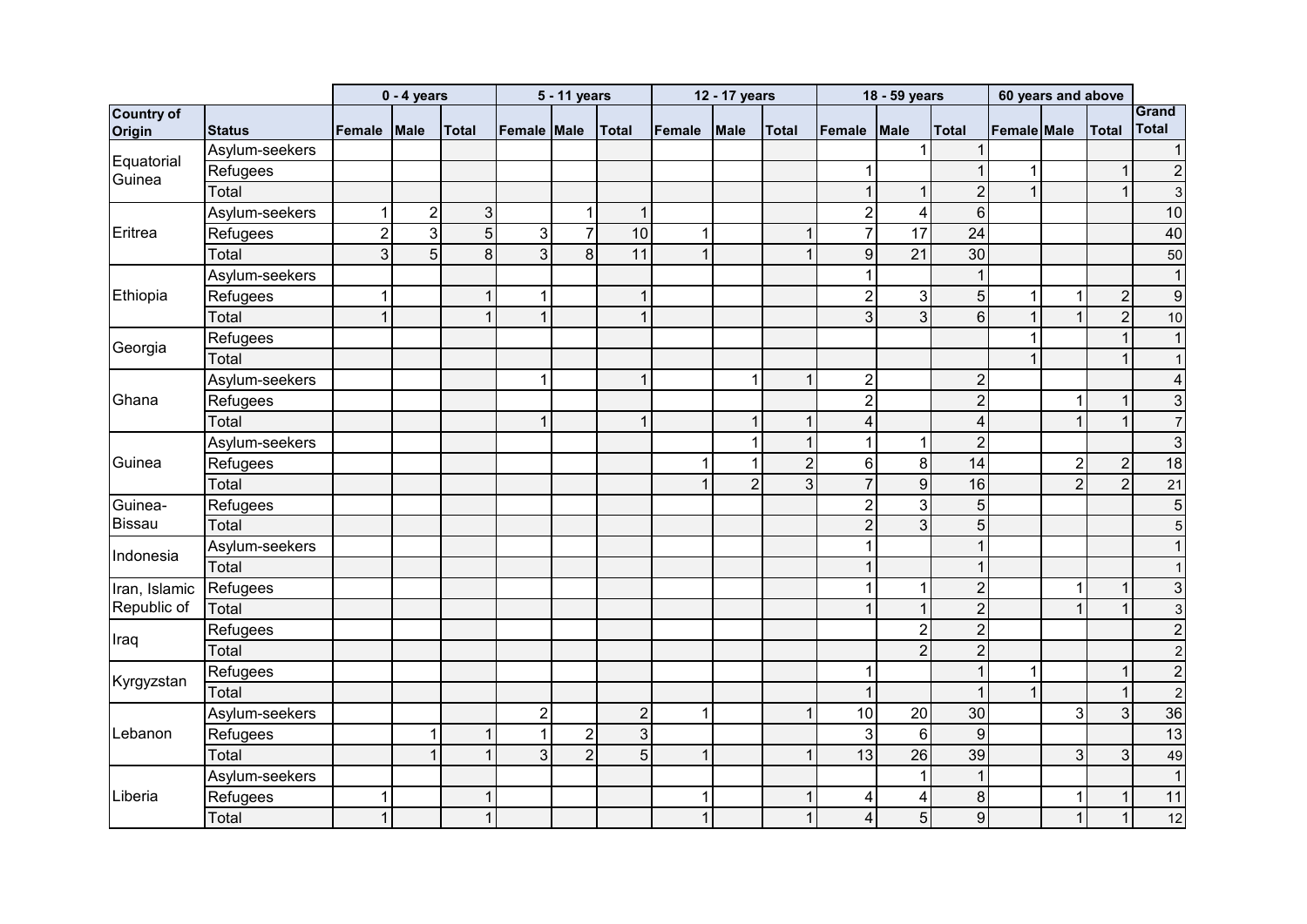|                             |                |                | $0 - 4$ years  |                |                | 5 - 11 years   |                |              | 12 - 17 years  |                |                  | 18 - 59 years           |                  | 60 years and above |                |                  |                         |
|-----------------------------|----------------|----------------|----------------|----------------|----------------|----------------|----------------|--------------|----------------|----------------|------------------|-------------------------|------------------|--------------------|----------------|------------------|-------------------------|
| <b>Country of</b><br>Origin | <b>Status</b>  | Female         | <b>IMale</b>   | <b>Total</b>   | Female Male    |                | <b>Total</b>   | Female       | Male           | <b>Total</b>   | Female           | <b>Male</b>             | <b>Total</b>     | <b>Female Male</b> |                | <b>Total</b>     | Grand<br>Total          |
|                             | Asylum-seekers |                |                |                |                |                |                |              |                |                |                  | $\mathbf{1}$            | $\mathbf{1}$     |                    |                |                  | $\mathbf{1}$            |
| Equatorial                  | Refugees       |                |                |                |                |                |                |              |                |                | 1                |                         | $\mathbf{1}$     | $\mathbf{1}$       |                | 1                | $\overline{c}$          |
| Guinea                      | Total          |                |                |                |                |                |                |              |                |                | $\overline{1}$   | $\mathbf{1}$            | $\overline{2}$   | $\mathbf{1}$       |                | $\overline{1}$   | $\mathbf{3}$            |
|                             | Asylum-seekers | 1              | $\overline{2}$ | $\mathbf{3}$   |                | $\mathbf{1}$   | $\mathbf 1$    |              |                |                | $\overline{2}$   | $\overline{\mathbf{4}}$ | $6\phantom{a}$   |                    |                |                  | 10                      |
| Eritrea                     | Refugees       | $\overline{2}$ | 3              | $\overline{5}$ | $\mathbf{3}$   | $\overline{7}$ | 10             | $\mathbf 1$  |                | $\mathbf{1}$   | $\overline{7}$   | $\overline{17}$         | 24               |                    |                |                  | 40                      |
|                             | Total          | 3              | 5              | $\infty$       | $\overline{3}$ | 8              | 11             | $\mathbf{1}$ |                | $\mathbf{1}$   | $\boldsymbol{9}$ | $\overline{21}$         | 30               |                    |                |                  | 50                      |
|                             | Asylum-seekers |                |                |                |                |                |                |              |                |                | 1                |                         | $\mathbf{1}$     |                    |                |                  | $\mathbf{1}$            |
| Ethiopia                    | Refugees       | 4              |                | $\mathbf{1}$   | $\overline{1}$ |                |                |              |                |                | $\sqrt{2}$       | $\mathbf{3}$            | $\overline{5}$   | $\mathbf{1}$       |                | $\boldsymbol{2}$ | $\boldsymbol{9}$        |
|                             | Total          |                |                | $\mathbf{1}$   | 1              |                |                |              |                |                | 3                | دی                      | $\overline{6}$   | $\mathbf{1}$       |                | $\overline{2}$   | 10                      |
|                             | Refugees       |                |                |                |                |                |                |              |                |                |                  |                         |                  | $\mathbf{1}$       |                | $\mathbf{1}$     | $\mathbf{1}$            |
| Georgia                     | Total          |                |                |                |                |                |                |              |                |                |                  |                         |                  | $\mathbf{1}$       |                | $\mathbf{1}$     | $\mathbf{1}$            |
|                             | Asylum-seekers |                |                |                | $\mathbf 1$    |                |                |              | 1              | $\mathbf{1}$   | $\overline{2}$   |                         | $\overline{2}$   |                    |                |                  | $\overline{\mathbf{4}}$ |
| Ghana                       | Refugees       |                |                |                |                |                |                |              |                |                | $\overline{2}$   |                         | $\overline{2}$   |                    |                | 1                | 3                       |
|                             | Total          |                |                |                | $\overline{1}$ |                |                |              |                | $\mathbf{1}$   | $\overline{4}$   |                         | $\overline{4}$   |                    |                | $\mathbf{1}$     | $\overline{7}$          |
|                             | Asylum-seekers |                |                |                |                |                |                |              |                | $\mathbf{1}$   | $\mathbf 1$      | $\mathbf{1}$            | $\overline{2}$   |                    |                |                  | 3                       |
| Guinea                      | Refugees       |                |                |                |                |                |                | 1            |                | $\overline{2}$ | $6\phantom{a}$   | $\bf 8$                 | $\overline{14}$  |                    | $\overline{2}$ | $\overline{2}$   | 18                      |
|                             | Total          |                |                |                |                |                |                |              | $\overline{2}$ | 3              | $\overline{7}$   | $\overline{9}$          | 16               |                    | $\overline{2}$ | $\overline{2}$   | 21                      |
| Guinea-                     | Refugees       |                |                |                |                |                |                |              |                |                | $\overline{2}$   | $\mathbf{3}$            | 5                |                    |                |                  | 5                       |
| Bissau                      | Total          |                |                |                |                |                |                |              |                |                | $\overline{2}$   | دی                      | $\overline{5}$   |                    |                |                  | 5                       |
|                             | Asylum-seekers |                |                |                |                |                |                |              |                |                | 1                |                         | $\mathbf{1}$     |                    |                |                  |                         |
| Indonesia                   | Total          |                |                |                |                |                |                |              |                |                | $\overline{1}$   |                         | $\mathbf{1}$     |                    |                |                  | 1                       |
| Iran, Islamic               | Refugees       |                |                |                |                |                |                |              |                |                | $\mathbf 1$      | $\mathbf{1}$            | $\overline{2}$   |                    | 1              | $\mathbf{1}$     | 3                       |
| Republic of                 | Total          |                |                |                |                |                |                |              |                |                |                  | $\mathbf{1}$            | $\overline{2}$   |                    |                | 1                | 3                       |
|                             | Refugees       |                |                |                |                |                |                |              |                |                |                  | $\overline{2}$          | $\overline{2}$   |                    |                |                  | $\overline{2}$          |
| Iraq                        | Total          |                |                |                |                |                |                |              |                |                |                  | $\overline{2}$          | $\overline{2}$   |                    |                |                  | $\overline{c}$          |
|                             | Refugees       |                |                |                |                |                |                |              |                |                | 1                |                         | $\mathbf{1}$     | $\mathbf{1}$       |                | $\mathbf{1}$     | $\overline{c}$          |
| Kyrgyzstan                  | Total          |                |                |                |                |                |                |              |                |                | $\mathbf{1}$     |                         | $\mathbf{1}$     | $\mathbf{1}$       |                | $\mathbf{1}$     | $\overline{2}$          |
|                             | Asylum-seekers |                |                |                | $\overline{2}$ |                | $\overline{2}$ | 1            |                | $\mathbf{1}$   | 10               | 20                      | 30 <sup>°</sup>  |                    | 3              | 3                | $\overline{36}$         |
| Lebanon                     | Refugees       |                | 1              | $\mathbf{1}$   | $\mathbf{1}$   | $\overline{c}$ | $\mathbf{3}$   |              |                |                | $\mathbf{3}$     | $\sigma$                | $\overline{9}$   |                    |                |                  | 13                      |
|                             | Total          |                | $\overline{1}$ | $\mathbf{1}$   | 3              | $\overline{2}$ | $\overline{5}$ | $\mathbf 1$  |                | 1              | 13               | 26                      | 39               |                    | 3              | 3                | 49                      |
|                             | Asylum-seekers |                |                |                |                |                |                |              |                |                |                  | $\mathbf{1}$            | $\mathbf{1}$     |                    |                |                  | $\mathbf{1}$            |
| Liberia                     | Refugees       | 1              |                | $\mathbf{1}$   |                |                |                | $\mathbf{1}$ |                | $\mathbf{1}$   | 4                | $\overline{\mathbf{4}}$ | $\bf 8$          |                    |                | $\mathbf{1}$     | 11                      |
|                             | Total          |                |                | $\mathbf{1}$   |                |                |                |              |                | $\mathbf{1}$   | 4                | 5                       | $\boldsymbol{9}$ |                    | $\overline{1}$ | $\mathbf{1}$     | 12                      |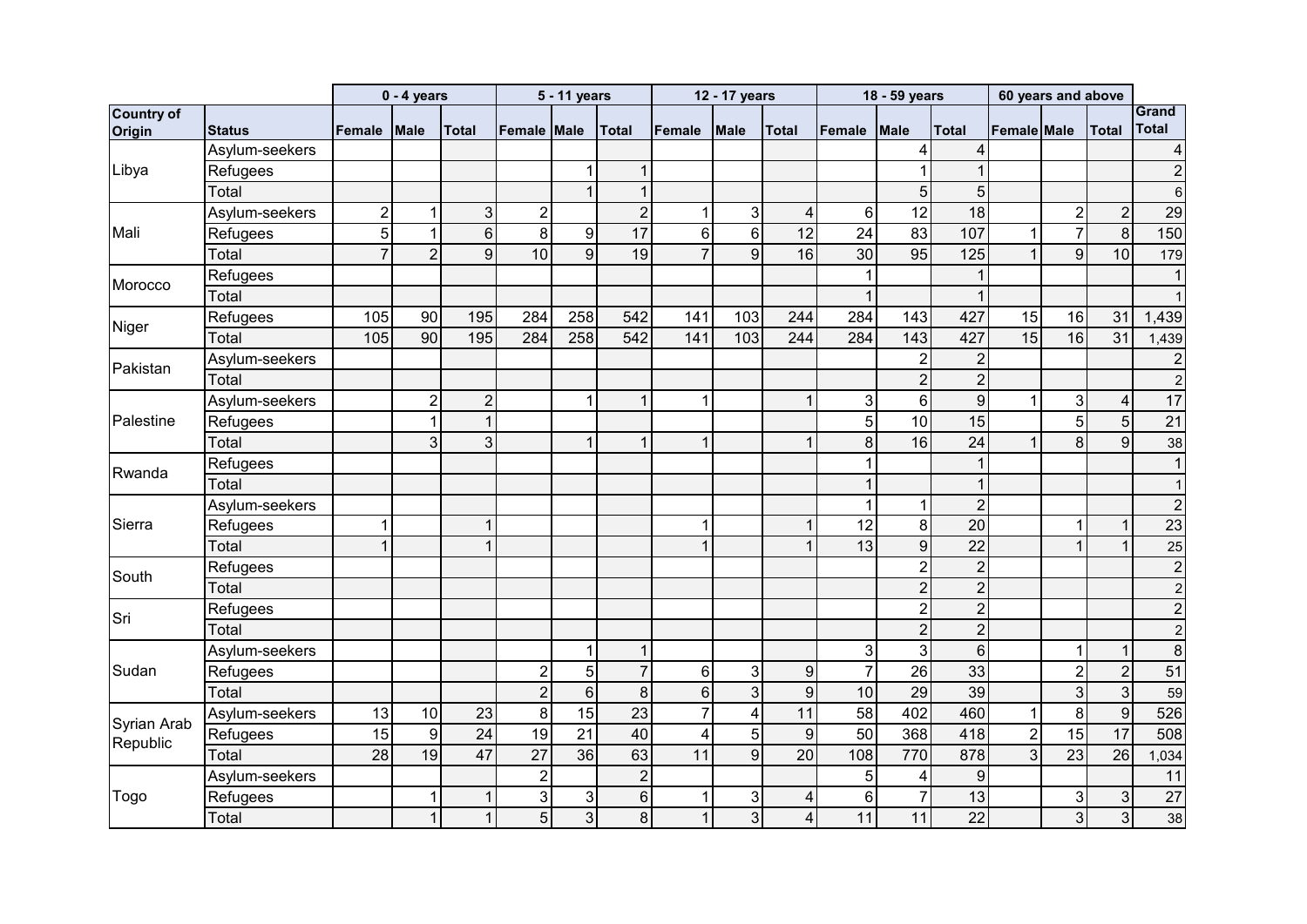|                             |                |                | $0 - 4$ years  |                 |                  | 5 - 11 years   |                |                | 12 - 17 years  |                         |                | 18 - 59 years   |                  |                    | 60 years and above |                  |                       |
|-----------------------------|----------------|----------------|----------------|-----------------|------------------|----------------|----------------|----------------|----------------|-------------------------|----------------|-----------------|------------------|--------------------|--------------------|------------------|-----------------------|
| <b>Country of</b><br>Origin | <b>Status</b>  | <b>Female</b>  | <b>Male</b>    | <b>Total</b>    | lFemale IMale    |                | <b>Total</b>   | Female         | <b>Male</b>    | <b>Total</b>            | Female         | <b>Male</b>     | <b>Total</b>     | <b>Female</b> Male |                    | <b>Total</b>     | Grand<br><b>Total</b> |
|                             | Asylum-seekers |                |                |                 |                  |                |                |                |                |                         |                | 4               | $\overline{4}$   |                    |                    |                  | 4                     |
| Libya                       | Refugees       |                |                |                 |                  | 1              | $\mathbf{1}$   |                |                |                         |                | 1               | $\mathbf 1$      |                    |                    |                  | $\overline{2}$        |
|                             | Total          |                |                |                 |                  | $\mathbf{1}$   | $\overline{1}$ |                |                |                         |                | 5 <sup>1</sup>  | $\overline{5}$   |                    |                    |                  | 6                     |
|                             | Asylum-seekers | $\overline{2}$ | $\mathbf{1}$   | $\mathbf{3}$    | $\overline{2}$   |                | $\overline{2}$ | 1              | 3              | $\overline{4}$          | $6\phantom{1}$ | 12              | 18               |                    | $\overline{2}$     | $\overline{2}$   | 29                    |
| Mali                        | Refugees       | 5 <sup>1</sup> | $\mathbf{1}$   | $\,6\,$         | 8 <sup>1</sup>   | 9              | 17             | 6 <sup>1</sup> | 6 <sup>1</sup> | $\overline{12}$         | 24             | 83              | 107              | $\mathbf{1}$       | $\overline{7}$     | $\boldsymbol{8}$ | 150                   |
|                             | Total          | $\overline{7}$ | $\overline{2}$ | $\overline{9}$  | 10               | 9              | 19             | $\overline{7}$ | $\overline{9}$ | 16                      | 30             | 95              | $\overline{125}$ | $\mathbf{1}$       | 9 <sup>1</sup>     | 10               | 179                   |
|                             | Refugees       |                |                |                 |                  |                |                |                |                |                         | 1              |                 | 1                |                    |                    |                  |                       |
| Morocco                     | Total          |                |                |                 |                  |                |                |                |                |                         | $\overline{1}$ |                 | $\mathbf{1}$     |                    |                    |                  |                       |
|                             | Refugees       | 105            | 90             | 195             | 284              | 258            | 542            | 141            | 103            | 244                     | 284            | 143             | 427              | 15                 | 16                 | 31               | 1,439                 |
| Niger                       | Total          | 105            | 90             | 195             | 284              | 258            | 542            | 141            | 103            | 244                     | 284            | 143             | 427              | 15                 | 16                 | 31               | 1,439                 |
|                             | Asylum-seekers |                |                |                 |                  |                |                |                |                |                         |                | $\overline{2}$  | $\overline{2}$   |                    |                    |                  | $\overline{2}$        |
| Pakistan                    | Total          |                |                |                 |                  |                |                |                |                |                         |                | $\overline{2}$  | $\overline{2}$   |                    |                    |                  | $\boldsymbol{2}$      |
|                             | Asylum-seekers |                | $\overline{2}$ | $\overline{2}$  |                  | 1              | $\overline{1}$ |                |                | 1                       | 3              | 6               | $9\,$            | $\mathbf{1}$       | $\mathbf{3}$       | $\overline{4}$   | 17                    |
| Palestine                   | Refugees       |                | $\mathbf{1}$   | $\mathbf{1}$    |                  |                |                |                |                |                         | 5              | 10              | 15               |                    | 5                  | 5                | $\overline{21}$       |
|                             | Total          |                | 3              | 3 <sup>1</sup>  |                  | $\mathbf 1$    |                |                |                | $\mathbf 1$             | 8              | 16              | 24               | 1                  | 8                  | 9                | 38                    |
| Rwanda                      | Refugees       |                |                |                 |                  |                |                |                |                |                         | 1              |                 | $\mathbf{1}$     |                    |                    |                  |                       |
|                             | Total          |                |                |                 |                  |                |                |                |                |                         | $\mathbf{1}$   |                 | $\mathbf{1}$     |                    |                    |                  | 1                     |
|                             | Asylum-seekers |                |                |                 |                  |                |                |                |                |                         | $\mathbf 1$    | $\mathbf 1$     | $\overline{2}$   |                    |                    |                  | $\overline{2}$        |
| Sierra                      | Refugees       |                |                |                 |                  |                |                |                |                | 1                       | 12             | $\bf{8}$        | 20               |                    |                    |                  | $\overline{23}$       |
|                             | Total          |                |                | $\mathbf{1}$    |                  |                |                |                |                | 1                       | 13             | $\overline{9}$  | 22               |                    |                    |                  | 25                    |
| South                       | Refugees       |                |                |                 |                  |                |                |                |                |                         |                | $\overline{2}$  | $\overline{2}$   |                    |                    |                  | $\boldsymbol{2}$      |
|                             | Total          |                |                |                 |                  |                |                |                |                |                         |                | $\overline{2}$  | $\overline{2}$   |                    |                    |                  | $\overline{c}$        |
| Sri                         | Refugees       |                |                |                 |                  |                |                |                |                |                         |                | $\overline{2}$  | $\overline{2}$   |                    |                    |                  | $\overline{c}$        |
|                             | Total          |                |                |                 |                  |                |                |                |                |                         |                | $\overline{2}$  | $\overline{2}$   |                    |                    |                  | $\overline{c}$        |
|                             | Asylum-seekers |                |                |                 |                  | $\mathbf 1$    | $\mathbf 1$    |                |                |                         | 3              | $\overline{3}$  | $6\phantom{a}$   |                    | $\mathbf 1$        | $\mathbf{1}$     | $\bf 8$               |
| Sudan                       | Refugees       |                |                |                 | $\boldsymbol{2}$ | 5              | $\overline{7}$ | 6 <sup>1</sup> | 3              | $\boldsymbol{9}$        | $\overline{7}$ | 26              | 33               |                    | $\overline{2}$     | $\overline{2}$   | 51                    |
|                             | Total          |                |                |                 | $\overline{2}$   | $6\phantom{a}$ | 8              | 6 <sup>1</sup> | 3              | $\overline{9}$          | 10             | $\overline{29}$ | 39               |                    | $\mathbf{3}$       | $\mathbf{3}$     | 59                    |
| Syrian Arab                 | Asylum-seekers | 13             | 10             | 23              | 8                | 15             | 23             | $\overline{7}$ | $\overline{4}$ | 11                      | 58             | 402             | 460              | 1                  | 8                  | 9                | 526                   |
| Republic                    | Refugees       | 15             | $\overline{9}$ | $\overline{24}$ | $\overline{19}$  | 21             | 40             | 4              | 5              | $\overline{9}$          | 50             | 368             | 418              | $\overline{2}$     | 15                 | 17               | 508                   |
|                             | Total          | 28             | 19             | $\overline{47}$ | $\overline{27}$  | 36             | 63             | 11             | 9 <sup>1</sup> | 20                      | 108            | 770             | 878              | ვ                  | 23                 | 26               | 1,034                 |
|                             | Asylum-seekers |                |                |                 | $\boldsymbol{2}$ |                | $\overline{2}$ |                |                |                         | 5              | 4               | 9                |                    |                    |                  | 11                    |
| Togo                        | Refugees       |                | $\mathbf{1}$   | $\mathbf{1}$    | <u>კ</u>         | $\sqrt{3}$     | 6              |                | 3              | $\overline{\mathbf{4}}$ | $6\phantom{a}$ | $\overline{7}$  | 13               |                    | $\mathbf{3}$       | $\mathfrak{S}$   | $\overline{27}$       |
|                             | Total          |                | $\mathbf{1}$   | $\mathbf{1}$    | 5 <sup>1</sup>   | $\mathfrak{S}$ | 8              |                | 3              | $\overline{\mathbf{4}}$ | 11             | 11              | 22               |                    | 3 <sup>1</sup>     | $\mathbf{3}$     | 38                    |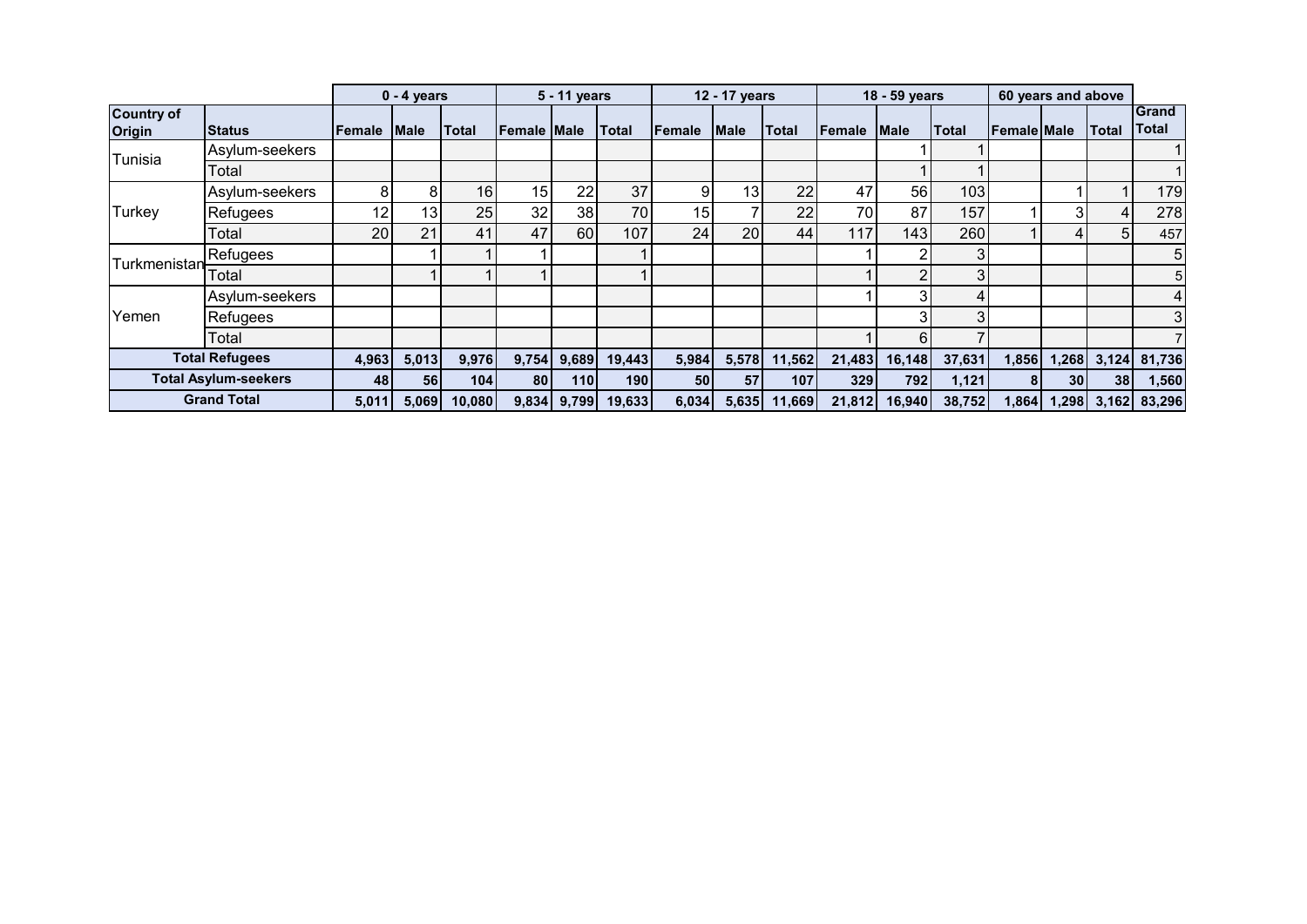|                                    |                             |           | $0 - 4$ years   |                 |                    | 5 - 11 years |            |                 | 12 - 17 years   |        |                  | 18 - 59 years |                  |                    | 60 years and above |                 |                       |
|------------------------------------|-----------------------------|-----------|-----------------|-----------------|--------------------|--------------|------------|-----------------|-----------------|--------|------------------|---------------|------------------|--------------------|--------------------|-----------------|-----------------------|
| <b>Country of</b><br><b>Origin</b> | <b>Status</b>               | lFemale i | <b>Male</b>     | <b>Total</b>    | <b>Female Male</b> |              | Total      | Female          | <b>Male</b>     | Total  | Female           | <b>Male</b>   | <b>Total</b>     | <b>Female Male</b> |                    | <b>Total</b>    | Grand<br><b>Total</b> |
| Tunisia                            | Asylum-seekers              |           |                 |                 |                    |              |            |                 |                 |        |                  |               |                  |                    |                    |                 |                       |
|                                    | Total                       |           |                 |                 |                    |              |            |                 |                 |        |                  |               |                  |                    |                    |                 |                       |
|                                    | Asylum-seekers              |           | 8               | 16 <sub>l</sub> | 15                 | 22           | 37         |                 | 13              | 22     | 47               | 56            | 103 <sub>l</sub> |                    |                    |                 | 179                   |
| Turkey                             | Refugees                    | 12        | 13 <sub>1</sub> | 25              | 32 <sub>1</sub>    | 38           | 70         | 15              |                 | 22     | 70               | 87            | 157              |                    |                    | 4               | 278                   |
|                                    | Total                       | 20        | 21              | 41              | 47                 | 60           | 107        | 24              | 20 <sub>l</sub> | 44     | 117 <sub>1</sub> | 1431          | 260              |                    |                    | 51              | 457                   |
| Turkmenistanl                      | Refugees                    |           |                 |                 |                    |              |            |                 |                 |        |                  | 2             | 3                |                    |                    |                 | 5                     |
|                                    | Total                       |           |                 |                 |                    |              |            |                 |                 |        |                  | 2             | 3                |                    |                    |                 | 5 <sup>1</sup>        |
|                                    | Asylum-seekers              |           |                 |                 |                    |              |            |                 |                 |        |                  | 3             | 4                |                    |                    |                 | 4                     |
| Yemen                              | Refugees                    |           |                 |                 |                    |              |            |                 |                 |        |                  | 3             | 3                |                    |                    |                 | 3 <sub>l</sub>        |
|                                    | Total                       |           |                 |                 |                    |              |            |                 |                 |        |                  | 6             |                  |                    |                    |                 |                       |
|                                    | <b>Total Refugees</b>       | 4,963     | 5,013           | 9,976           | 9,754              | 9,689        | 19,443     | 5,984           | 5,578           | 11,562 | 21,483           | 16,148        | 37,631           | 1,856              | 1,268              |                 | 3,124 81,736          |
|                                    | <b>Total Asylum-seekers</b> | 48        | 56              | 104             | <b>801</b>         | 110          | <b>190</b> | 50 <sub>1</sub> | 57              | 107    | 329              | 792           | 1,121            | 81                 | 30 <sup>1</sup>    | 38 <sup>1</sup> | 1,560                 |
|                                    | <b>Grand Total</b>          | 5,011     | 5,069           | 10,080          | 9,834              | 9,799        | 19,633     | 6,034           | 5,635           | 11,669 | 21,812           | 16,940        | 38,752           | 1,864              | 1,298              |                 | 3,162 83,296          |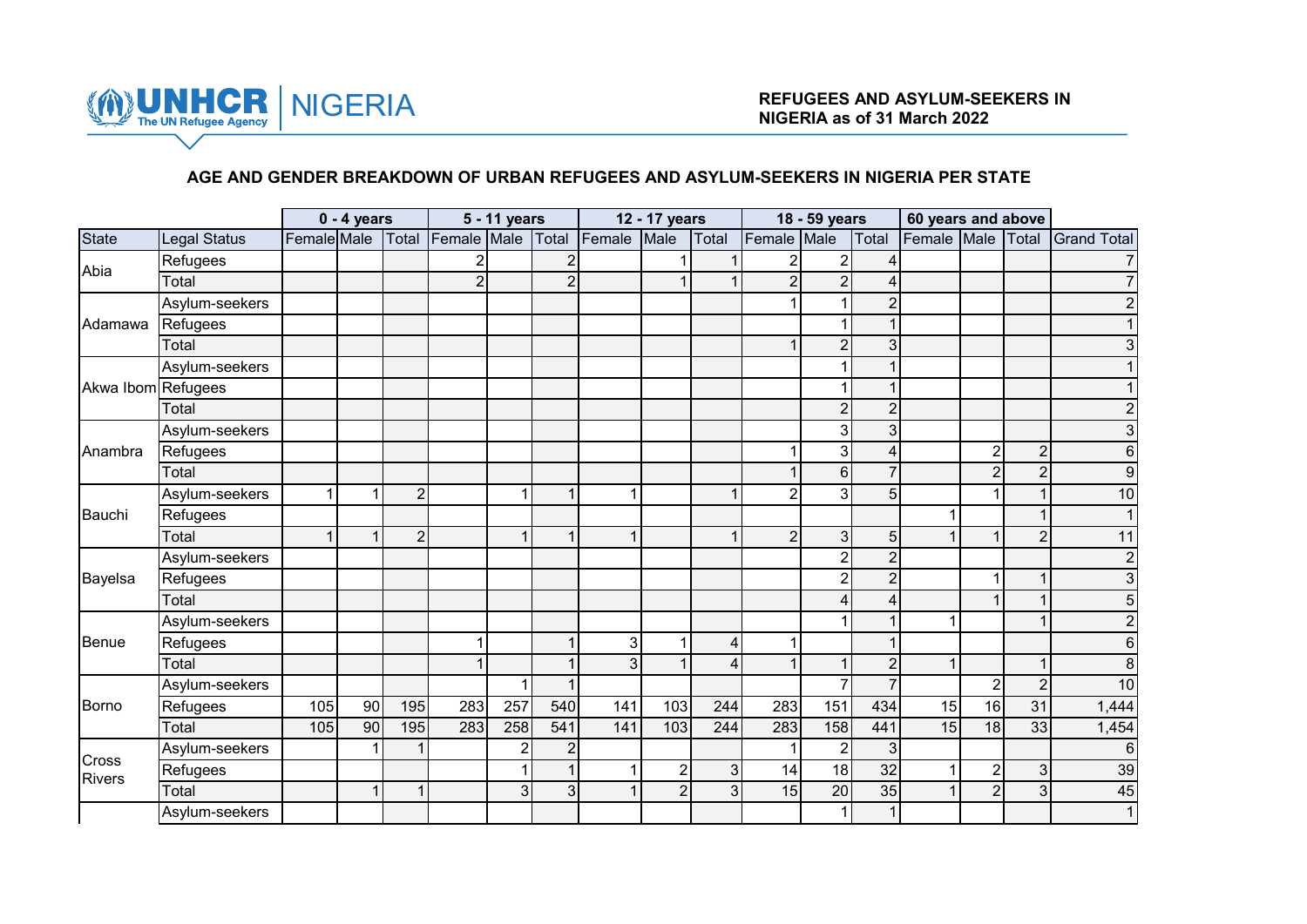

#### **AGE AND GENDER BREAKDOWN OF URBAN REFUGEES AND ASYLUM-SEEKERS IN NIGERIA PER STATE**

|                        |                |             | $0 - 4$ years |                |                | 5 - 11 years   |                |        | 12 - 17 years  |                |                | 18 - 59 years  |                | 60 years and above |                |                |                    |
|------------------------|----------------|-------------|---------------|----------------|----------------|----------------|----------------|--------|----------------|----------------|----------------|----------------|----------------|--------------------|----------------|----------------|--------------------|
| State                  | Legal Status   | Female Male |               | Total          | Female Male    |                | Total          | Female | Male           | Total          | Female Male    |                | Total          | Female Male        |                | Total          | <b>Grand Total</b> |
| Abia                   | Refugees       |             |               |                | 2              |                | $\mathfrak{p}$ |        |                |                | $\overline{c}$ | 2              |                |                    |                |                |                    |
|                        | Total          |             |               |                | $\overline{2}$ |                | $\overline{2}$ |        | 1              |                | $\overline{2}$ | $\overline{2}$ |                |                    |                |                |                    |
|                        | Asylum-seekers |             |               |                |                |                |                |        |                |                |                |                | $\mathfrak{p}$ |                    |                |                |                    |
| Adamawa                | Refugees       |             |               |                |                |                |                |        |                |                |                |                |                |                    |                |                |                    |
|                        | Total          |             |               |                |                |                |                |        |                |                |                | $\overline{2}$ | 3              |                    |                |                |                    |
|                        | Asylum-seekers |             |               |                |                |                |                |        |                |                |                |                |                |                    |                |                |                    |
| Akwa Ibom Refugees     |                |             |               |                |                |                |                |        |                |                |                |                |                |                    |                |                |                    |
|                        | Total          |             |               |                |                |                |                |        |                |                |                | $\overline{2}$ | $\overline{2}$ |                    |                |                |                    |
|                        | Asylum-seekers |             |               |                |                |                |                |        |                |                |                | 3              | 3              |                    |                |                | 3                  |
| Anambra                | Refugees       |             |               |                |                |                |                |        |                |                |                | 3              | 4              |                    | $\overline{2}$ | $\mathbf 2$    | 6                  |
|                        | Total          |             |               |                |                |                |                |        |                |                |                | 6              | $\overline{7}$ |                    | $\overline{2}$ | $\overline{2}$ | 9                  |
|                        | Asylum-seekers |             | 1             | $\overline{2}$ |                | 1              | ł              |        |                |                | $\overline{2}$ | 3 <sub>l</sub> | 5              |                    | 1              | 1              | 10                 |
| Bauchi                 | Refugees       |             |               |                |                |                |                |        |                |                |                |                |                |                    |                |                |                    |
|                        | Total          |             | 1             | $\overline{2}$ |                | $\mathbf{1}$   |                |        |                |                | $\overline{2}$ | 3 <sup>1</sup> | 5 <sup>1</sup> | $\mathbf 1$        |                | $\overline{2}$ | 11                 |
|                        | Asylum-seekers |             |               |                |                |                |                |        |                |                |                | $\overline{2}$ | $\overline{2}$ |                    |                |                | $\overline{c}$     |
| Bayelsa                | Refugees       |             |               |                |                |                |                |        |                |                |                | 2              | $\overline{2}$ |                    |                | 1              | 3                  |
|                        | Total          |             |               |                |                |                |                |        |                |                |                |                |                |                    |                | 1              | 5                  |
|                        | Asylum-seekers |             |               |                |                |                |                |        |                |                |                |                |                | 1                  |                |                | $\overline{2}$     |
| Benue                  | Refugees       |             |               |                |                |                |                | 3      | $\mathbf 1$    | $\overline{4}$ | $\mathbf 1$    |                |                |                    |                |                | 6                  |
|                        | Total          |             |               |                |                |                |                | 3      |                | 4              | $\mathbf{1}$   |                |                | 1                  |                |                | 8                  |
|                        | Asylum-seekers |             |               |                |                | 1              |                |        |                |                |                |                |                |                    | $\overline{2}$ | $\overline{2}$ | 10                 |
| Borno                  | Refugees       | 105         | 90            | 195            | 283            | 257            | 540            | 141    | 103            | 244            | 283            | 151            | 434            | 15                 | 16             | 31             | 1,444              |
|                        | Total          | 105         | 90            | 195            | 283            | 258            | 541            | 141    | 103            | 244            | 283            | 158            | 441            | 15                 | 18             | 33             | 1,454              |
|                        | Asylum-seekers |             | 1             |                |                | $\overline{2}$ | $\overline{2}$ |        |                |                | 1              | $\overline{2}$ | 3              |                    |                |                | $6\phantom{1}6$    |
| Cross<br><b>Rivers</b> | Refugees       |             |               |                |                |                |                |        | $\overline{2}$ | 3              | 14             | 18             | 32             | 1                  | $\overline{2}$ | $\mathbf{3}$   | 39                 |
|                        | Total          |             |               |                |                | 3              | 3              |        | $\overline{2}$ | $\mathbf{3}$   | 15             | 20             | 35             | $\overline{1}$     | $\overline{2}$ | 3              | 45                 |
|                        | Asylum-seekers |             |               |                |                |                |                |        |                |                |                | 1              | $\mathbf{1}$   |                    |                |                | 1                  |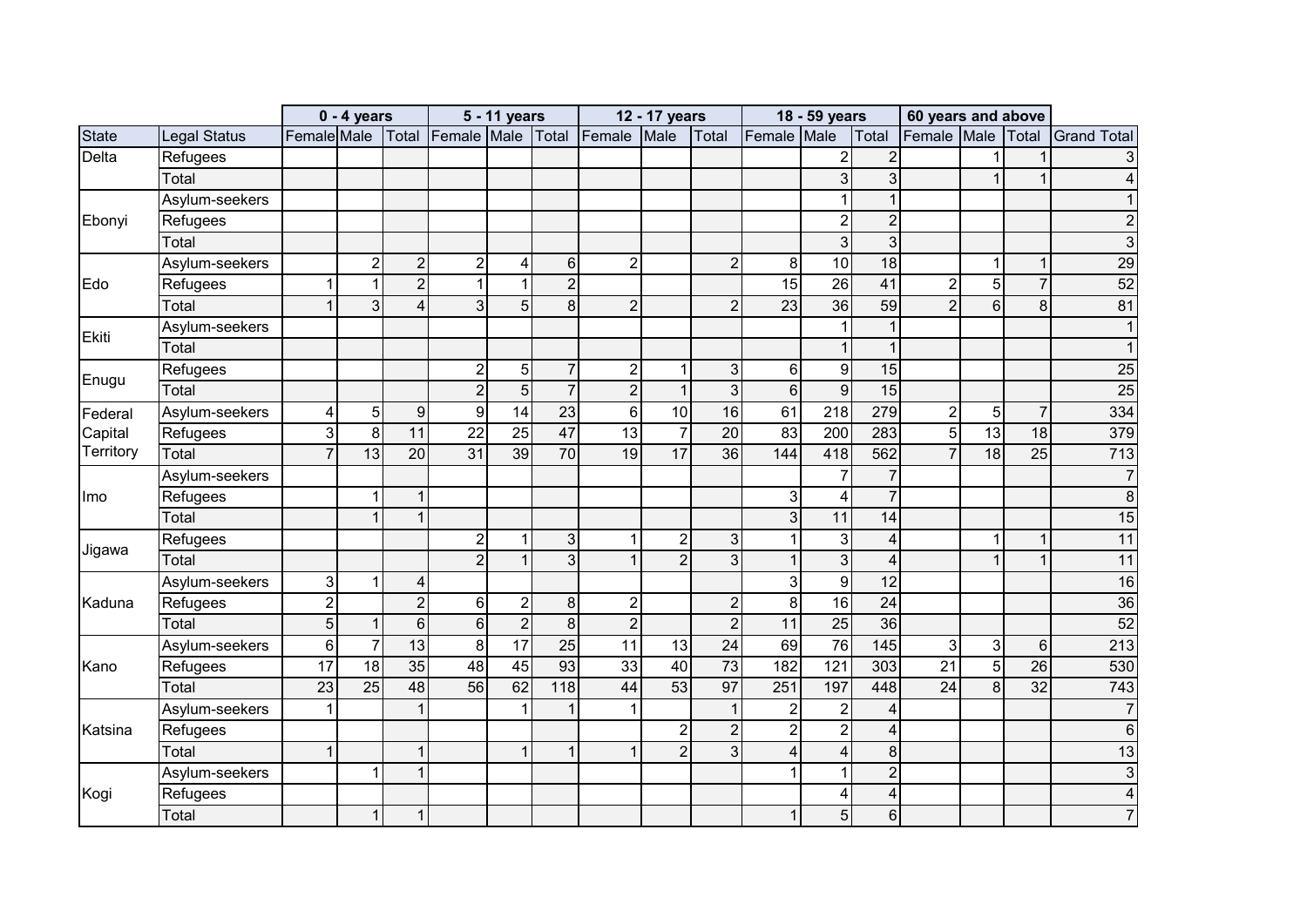|            |                     |                | $0 - 4$ years  |                 |                  | 5 - 11 years     |                 |                | 12 - 17 years   |                 |                         | 18 - 59 years    |                         | 60 years and above |                 |                 |                    |
|------------|---------------------|----------------|----------------|-----------------|------------------|------------------|-----------------|----------------|-----------------|-----------------|-------------------------|------------------|-------------------------|--------------------|-----------------|-----------------|--------------------|
| State      | <b>Legal Status</b> | Female Male    |                | Total           | Female Male      |                  | Total           | Female         | Male            | Total           | Female Male             |                  | Total                   | Female Male        |                 | Total           | <b>Grand Total</b> |
| Delta      | Refugees            |                |                |                 |                  |                  |                 |                |                 |                 |                         | $\overline{c}$   | $\overline{c}$          |                    |                 |                 | 3                  |
|            | Total               |                |                |                 |                  |                  |                 |                |                 |                 |                         | $\overline{3}$   | 3                       |                    |                 | 1               | 4                  |
|            | Asylum-seekers      |                |                |                 |                  |                  |                 |                |                 |                 |                         | 1                |                         |                    |                 |                 |                    |
| Ebonyi     | Refugees            |                |                |                 |                  |                  |                 |                |                 |                 |                         | $\overline{2}$   | $\overline{2}$          |                    |                 |                 |                    |
|            | Total               |                |                |                 |                  |                  |                 |                |                 |                 |                         | 3                | $\mathbf{3}$            |                    |                 |                 | 3                  |
|            | Asylum-seekers      |                | $\overline{c}$ | $\mathbf{2}$    | $\overline{2}$   | 4                | $6 \mid$        | $\overline{2}$ |                 | $\overline{2}$  | 8                       | 10               | 18                      |                    | 1               | $\mathbf{1}$    | 29                 |
| Edo        | Refugees            |                | 1              | $\overline{2}$  | $\mathbf{1}$     | 1                | $\overline{2}$  |                |                 |                 | $\overline{15}$         | $\overline{26}$  | 41                      | $\overline{c}$     | 5               | $\overline{7}$  | 52                 |
|            | Total               |                | 3              | 4               | $\mathbf{3}$     | 5                | 8 <sup>1</sup>  | $\overline{2}$ |                 | $\overline{2}$  | 23                      | 36               | 59                      | $\overline{2}$     | 6               | 8               | 81                 |
| Ekiti      | Asylum-seekers      |                |                |                 |                  |                  |                 |                |                 |                 |                         |                  |                         |                    |                 |                 |                    |
|            | Total               |                |                |                 |                  |                  |                 |                |                 |                 |                         | 1                |                         |                    |                 |                 |                    |
| Enugu      | Refugees            |                |                |                 | $\boldsymbol{2}$ | 5                | $\overline{7}$  | $\overline{2}$ | 1               | 3 <sup>1</sup>  | 6                       | 9                | 15                      |                    |                 |                 | 25                 |
|            | Total               |                |                |                 | $\overline{2}$   | 5                | $\overline{7}$  | $\overline{2}$ | $\overline{1}$  | $\mathbf{3}$    | $6\phantom{1}$          | $\overline{9}$   | 15                      |                    |                 |                 | $\overline{25}$    |
| Federal    | Asylum-seekers      | 4              | 5              | $9\,$           | $\overline{9}$   | $\overline{14}$  | $\overline{23}$ | $6\phantom{1}$ | 10              | 16              | 61                      | $\overline{218}$ | 279                     | $\overline{c}$     | 5               | $\overline{7}$  | 334                |
| Capital    | Refugees            | 3              | 8              | 11              | 22               | 25               | 47              | 13             | $\overline{7}$  | 20              | 83                      | 200              | 283                     | 5                  | 13              | 18              | 379                |
| Territory  | Total               |                | 13             | 20              | 31               | 39               | $\overline{70}$ | 19             | $\overline{17}$ | 36              | 144                     | 418              | 562                     | $\overline{7}$     | $\overline{18}$ | $\overline{25}$ | $\overline{713}$   |
|            | Asylum-seekers      |                |                |                 |                  |                  |                 |                |                 |                 |                         | $\overline{7}$   | $\overline{7}$          |                    |                 |                 | $\overline{7}$     |
| <b>Imo</b> | Refugees            |                | 1              | $\mathbf{1}$    |                  |                  |                 |                |                 |                 | 3                       | 4                | $\overline{7}$          |                    |                 |                 | 8                  |
|            | Total               |                |                | $\mathbf{1}$    |                  |                  |                 |                |                 |                 | 3                       | 11               | 14                      |                    |                 |                 | 15                 |
| Jigawa     | Refugees            |                |                |                 | $\overline{2}$   | 1                | 3               |                | $\overline{2}$  | 3               |                         | 3                | $\overline{\mathbf{4}}$ |                    | 1               | 1               | 11                 |
|            | Total               |                |                |                 | $\overline{2}$   | $\mathbf{1}$     | 3 <sup>1</sup>  |                | $\overline{2}$  | 3 <sup>1</sup>  | $\mathbf{1}$            | $\overline{3}$   | 4                       |                    |                 | 1               | 11                 |
|            | Asylum-seekers      | 3              | 1              | 4               |                  |                  |                 |                |                 |                 | $\overline{3}$          | $\overline{9}$   | $\overline{12}$         |                    |                 |                 | 16                 |
| Kaduna     | Refugees            | $\overline{2}$ |                | $\overline{2}$  | 6                | $\boldsymbol{2}$ | 8 <sup>1</sup>  | $\overline{2}$ |                 | $\overline{2}$  | $\bf 8$                 | 16               | 24                      |                    |                 |                 | 36                 |
|            | Total               | 5 <sup>1</sup> | $\mathbf{1}$   | $6\phantom{a}$  | $\,$ 6 $\,$      | $\overline{2}$   | 8 <sup>1</sup>  | $\overline{2}$ |                 | $\overline{2}$  | $\overline{11}$         | $\overline{25}$  | $\overline{36}$         |                    |                 |                 | 52                 |
|            | Asylum-seekers      | $6 \,$         | $\overline{7}$ | $\overline{13}$ | $\bf 8$          | $\overline{17}$  | $\overline{25}$ | 11             | 13              | $\overline{24}$ | 69                      | $\overline{76}$  | 145                     | $\mathbf{3}$       | 3               | $\,6\,$         | 213                |
| Kano       | Refugees            | 17             | 18             | 35              | 48               | 45               | 93              | 33             | 40              | 73              | 182                     | 121              | 303                     | $\overline{21}$    | 5               | 26              | 530                |
|            | Total               | 23             | 25             | 48              | 56               | 62               | 118             | 44             | 53              | $\overline{97}$ | 251                     | 197              | 448                     | $\overline{24}$    | 8               | 32              | 743                |
|            | Asylum-seekers      |                |                | 1               |                  | 1                |                 |                |                 | $\mathbf{1}$    | $\overline{\mathbf{c}}$ | $\boldsymbol{2}$ | 4                       |                    |                 |                 | $\overline{7}$     |
| Katsina    | Refugees            |                |                |                 |                  |                  |                 |                | $\overline{2}$  | $\overline{2}$  | $\overline{2}$          | $\overline{2}$   | 4                       |                    |                 |                 | 6                  |
|            | Total               |                |                | 1               |                  | $\mathbf{1}$     |                 |                | $\overline{2}$  | $\overline{3}$  | $\overline{\mathbf{4}}$ | 4                | 8                       |                    |                 |                 | 13                 |
|            | Asylum-seekers      |                | 1              | $\overline{1}$  |                  |                  |                 |                |                 |                 | 1                       | 1                | $\overline{2}$          |                    |                 |                 | 3                  |
| Kogi       | Refugees            |                |                |                 |                  |                  |                 |                |                 |                 |                         | 4                | $\overline{\mathbf{4}}$ |                    |                 |                 | 4                  |
|            | Total               |                | $\mathbf{1}$   | $\mathbf{1}$    |                  |                  |                 |                |                 |                 | $\mathbf{1}$            | $\overline{5}$   | $6\phantom{a}$          |                    |                 |                 | $\overline{7}$     |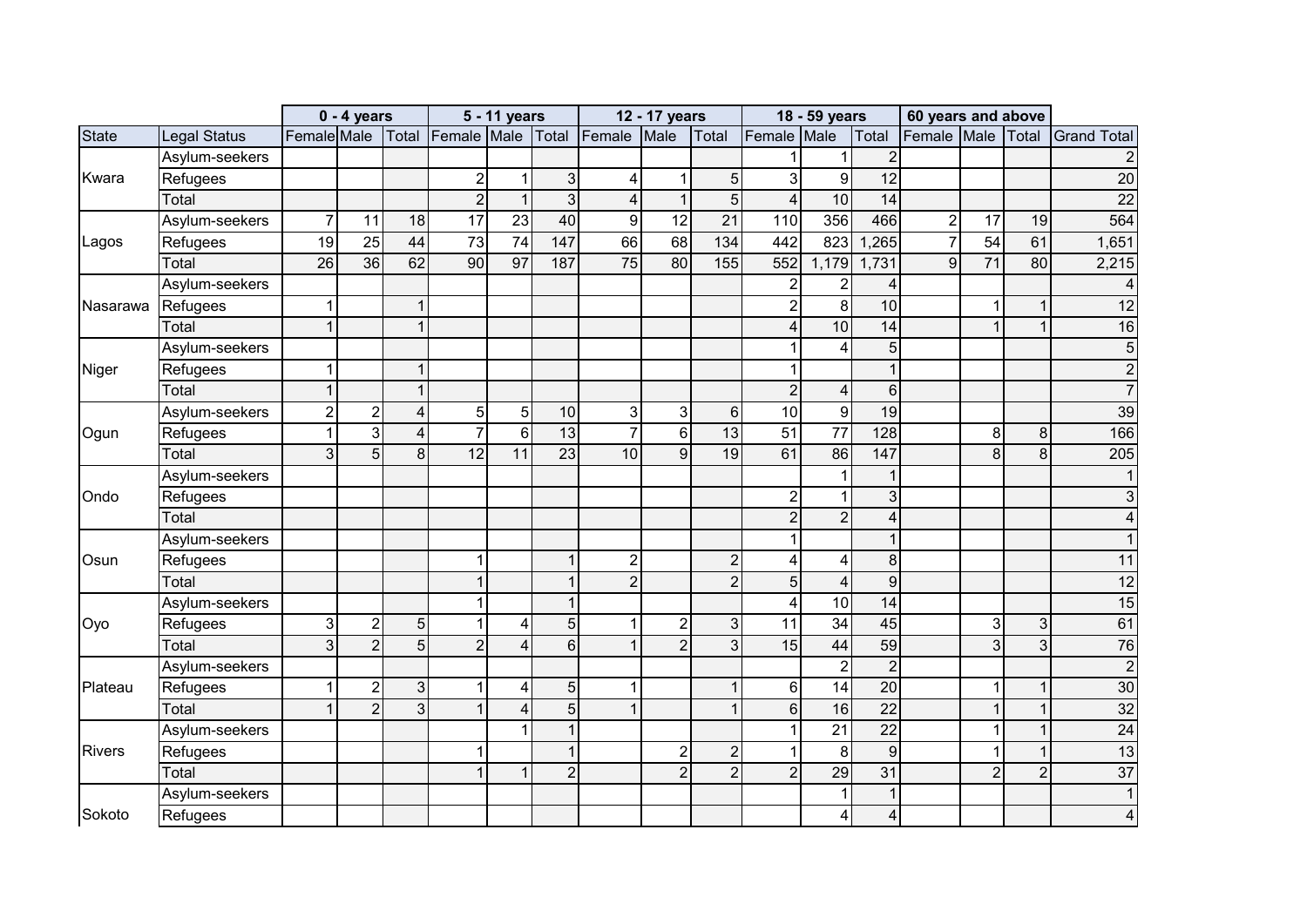|               |                     |                | $0 - 4$ years   |                |                   | 5 - 11 years            |                  |                | 12 - 17 years  |                 |                         | 18 - 59 years           |                         | 60 years and above |                 |                |                    |
|---------------|---------------------|----------------|-----------------|----------------|-------------------|-------------------------|------------------|----------------|----------------|-----------------|-------------------------|-------------------------|-------------------------|--------------------|-----------------|----------------|--------------------|
| <b>State</b>  | <b>Legal Status</b> | Female Male    |                 |                | Total Female Male |                         | Total            | Female         | Male           | Total           | Female Male             |                         | Total                   | Female Male Total  |                 |                | <b>Grand Total</b> |
|               | Asylum-seekers      |                |                 |                |                   |                         |                  |                |                |                 |                         |                         | $\overline{2}$          |                    |                 |                |                    |
| Kwara         | Refugees            |                |                 |                | $\boldsymbol{2}$  | $\mathbf{1}$            | 3                | 4              | 1              | 5 <sup>1</sup>  | 3                       | 9                       | $\overline{12}$         |                    |                 |                | $\overline{20}$    |
|               | Total               |                |                 |                | $\overline{2}$    | $\mathbf{1}$            | $\mathbf{3}$     | 4              | $\overline{1}$ | $\overline{5}$  | $\overline{4}$          | 10                      | $\overline{14}$         |                    |                 |                | $\overline{22}$    |
|               | Asylum-seekers      | $\overline{7}$ | 11              | 18             | $\overline{17}$   | 23                      | 40               | 9              | 12             | $\overline{21}$ | 110                     | 356                     | 466                     | $\boldsymbol{2}$   | 17              | 19             | 564                |
| Lagos         | Refugees            | 19             | $\overline{25}$ | 44             | $\overline{73}$   | $\overline{74}$         | 147              | 66             | 68             | 134             | 442                     | 823                     | ,265                    | $\overline{7}$     | 54              | 61             | 1,651              |
|               | Total               | 26             | 36              | 62             | 90                | $\overline{97}$         | 187              | 75             | 80             | 155             | 552                     | 1,179                   | 1,731                   | 9                  | $\overline{71}$ | 80             | 2,215              |
|               | Asylum-seekers      |                |                 |                |                   |                         |                  |                |                |                 | $\overline{2}$          | $\overline{2}$          | 4                       |                    |                 |                | 4                  |
| Nasarawa      | Refugees            |                |                 | 1              |                   |                         |                  |                |                |                 | $\overline{2}$          | 8                       | 10                      |                    | 1               | 1              | 12                 |
|               | Total               | 1              |                 | $\mathbf{1}$   |                   |                         |                  |                |                |                 | $\overline{\mathbf{4}}$ | $\overline{10}$         | 14                      |                    |                 | $\mathbf 1$    | 16                 |
|               | Asylum-seekers      |                |                 |                |                   |                         |                  |                |                |                 | 1                       | $\overline{\mathbf{4}}$ | $\overline{5}$          |                    |                 |                | 5                  |
| Niger         | Refugees            |                |                 | 1              |                   |                         |                  |                |                |                 |                         |                         |                         |                    |                 |                | $\overline{2}$     |
|               | Total               |                |                 | $\mathbf{1}$   |                   |                         |                  |                |                |                 | $\overline{2}$          | $\overline{\mathbf{4}}$ | $6 \overline{6}$        |                    |                 |                | $\overline{7}$     |
|               | Asylum-seekers      | $\overline{2}$ | $\overline{c}$  | $\overline{4}$ | $\overline{5}$    | 5                       | 10               | 3              | 3              | $6 \mid$        | 10                      | 9                       | 19                      |                    |                 |                | 39                 |
| Ogun          | Refugees            |                | 3               | $\overline{4}$ | $\overline{7}$    | $6\phantom{1}$          | 13               | $\overline{7}$ | $6\phantom{1}$ | 13              | $\overline{51}$         | $\overline{77}$         | 128                     |                    | 8               | $\, 8$         | 166                |
|               | Total               | 3              | 5               | $\overline{8}$ | $\overline{12}$   | 11                      | $\overline{23}$  | 10             | 9              | 19              | 61                      | 86                      | 147                     |                    | 8               | 8              | 205                |
|               | Asylum-seekers      |                |                 |                |                   |                         |                  |                |                |                 |                         | 1                       | 1                       |                    |                 |                | $\mathbf{1}$       |
| Ondo          | Refugees            |                |                 |                |                   |                         |                  |                |                |                 | $\overline{2}$          | $\mathbf{1}$            | 3                       |                    |                 |                | 3                  |
|               | Total               |                |                 |                |                   |                         |                  |                |                |                 | $\overline{2}$          | $\overline{2}$          | $\overline{4}$          |                    |                 |                | 4                  |
|               | Asylum-seekers      |                |                 |                |                   |                         |                  |                |                |                 | 1                       |                         |                         |                    |                 |                |                    |
| Osun          | Refugees            |                |                 |                | 1                 |                         |                  | $\overline{2}$ |                | $\overline{2}$  | 4                       | 4                       | 8                       |                    |                 |                | 11                 |
|               | Total               |                |                 |                | $\mathbf{1}$      |                         |                  | $\overline{2}$ |                | $\overline{2}$  | $\overline{5}$          | $\overline{\mathbf{4}}$ | $\boldsymbol{9}$        |                    |                 |                | 12                 |
|               | Asylum-seekers      |                |                 |                | $\mathbf{1}$      |                         |                  |                |                |                 | $\overline{\mathbf{4}}$ | 10                      | $\overline{14}$         |                    |                 |                | 15                 |
| Oyo           | Refugees            | 3              | $\overline{c}$  | 5 <sup>1</sup> | $\mathbf{1}$      | 4                       | 5                |                | $\overline{2}$ | 3 <sup>1</sup>  | $\overline{11}$         | $\overline{34}$         | 45                      |                    | 3               | 3              | 61                 |
|               | Total               | 3              | $\overline{2}$  | 5 <sup>1</sup> | $\overline{2}$    | $\overline{4}$          | $6 \overline{6}$ |                | $\overline{2}$ | $\overline{3}$  | 15                      | 44                      | 59                      |                    | 3               | 3              | 76                 |
|               | Asylum-seekers      |                |                 |                |                   |                         |                  |                |                |                 |                         | $\overline{c}$          | $\overline{c}$          |                    |                 |                | $\overline{2}$     |
| Plateau       | Refugees            |                | $\overline{c}$  | 3 <sup>1</sup> | $\mathbf{1}$      | 4                       | 5                |                |                | $\mathbf{1}$    | $\,6\,$                 | $\overline{14}$         | $\overline{20}$         |                    | 1               | $\mathbf{1}$   | 30                 |
|               | Total               |                | $\overline{2}$  | 3 <sup>1</sup> | $\mathbf{1}$      | $\overline{\mathbf{4}}$ | 5                |                |                | $\mathbf{1}$    | $6\phantom{1}$          | 16                      | $\overline{22}$         |                    | 4               | 1              | 32                 |
|               | Asylum-seekers      |                |                 |                |                   |                         |                  |                |                |                 | $\mathbf 1$             | $\overline{21}$         | $\overline{22}$         |                    |                 | 1              | $\overline{24}$    |
| <b>Rivers</b> | Refugees            |                |                 |                | 1                 |                         |                  |                | $\overline{c}$ | $\overline{2}$  | $\overline{1}$          | 8                       | 9                       |                    |                 | $\mathbf{1}$   | 13                 |
|               | Total               |                |                 |                | $\mathbf{1}$      | $\mathbf 1$             | 2                |                | $\overline{2}$ | $\overline{2}$  | $\overline{2}$          | $\overline{29}$         | 31                      |                    | $\overline{2}$  | $\overline{2}$ | 37                 |
|               | Asylum-seekers      |                |                 |                |                   |                         |                  |                |                |                 |                         | 1                       | $\mathbf{1}$            |                    |                 |                | $\mathbf{1}$       |
| Sokoto        | Refugees            |                |                 |                |                   |                         |                  |                |                |                 |                         | 4                       | $\overline{\mathbf{4}}$ |                    |                 |                | 4                  |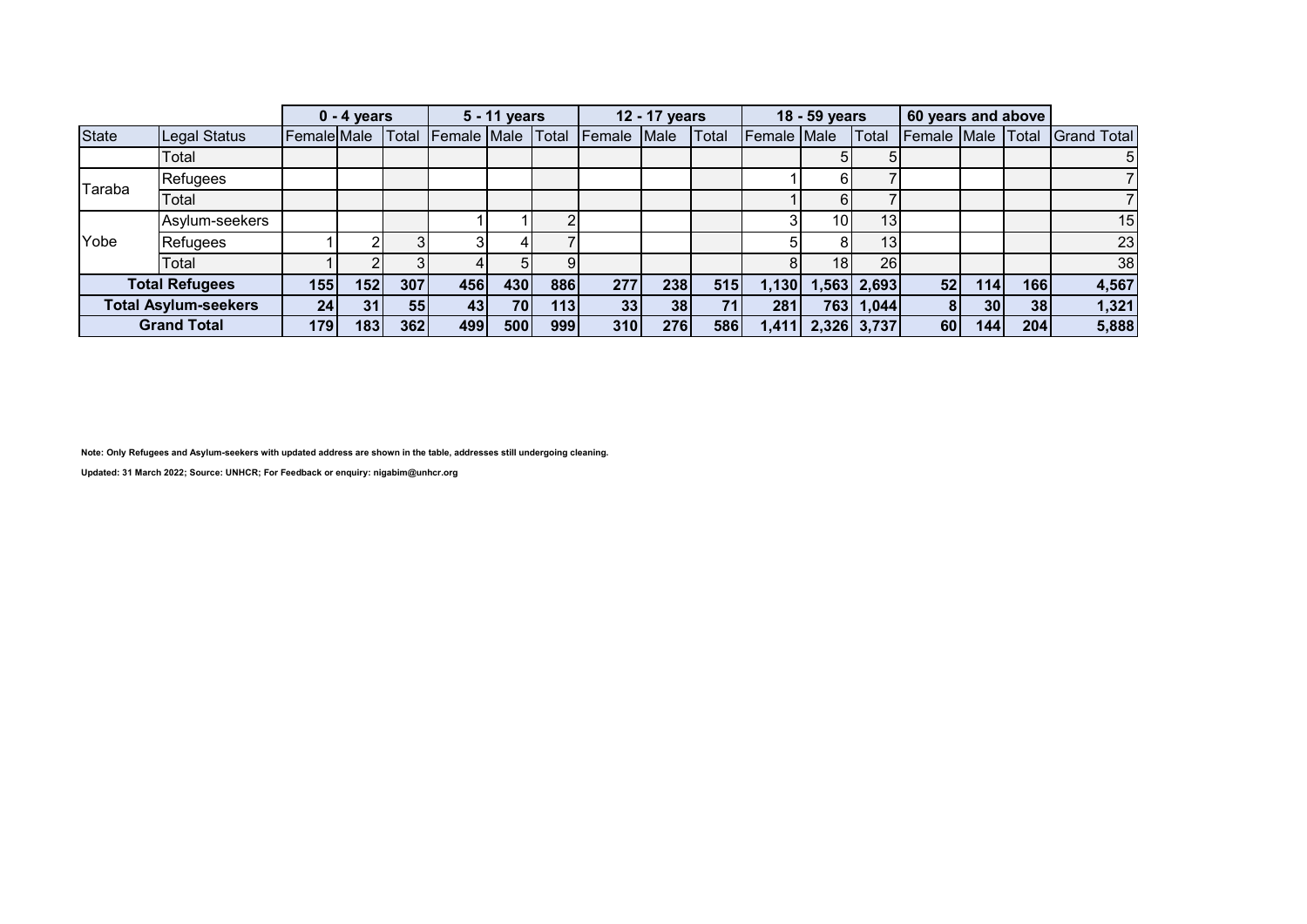|              |                             |                 | $0 - 4$ years |       |                    | 5 - 11 years |       |        | 12 - 17 years |       |             | 18 - 59 years   |                 | 60 years and above |                  |     |                    |
|--------------|-----------------------------|-----------------|---------------|-------|--------------------|--------------|-------|--------|---------------|-------|-------------|-----------------|-----------------|--------------------|------------------|-----|--------------------|
| <b>State</b> | Legal Status                | Female Male     |               | Total | <b>Female Male</b> |              | Total | Female | Male          | Total | Female Male |                 | Total           | Female Male Total  |                  |     | <b>Grand Total</b> |
|              | Total                       |                 |               |       |                    |              |       |        |               |       |             |                 |                 |                    |                  |     | $5\overline{)}$    |
| Taraba       | Refugees                    |                 |               |       |                    |              |       |        |               |       |             |                 |                 |                    |                  |     |                    |
|              | Total                       |                 |               |       |                    |              |       |        |               |       |             |                 |                 |                    |                  |     |                    |
|              | Asylum-seekers              |                 |               |       |                    |              |       |        |               |       |             | 10 <sup>1</sup> | 13              |                    |                  |     | 15                 |
| Yobe         | Refugees                    |                 |               |       |                    |              |       |        |               |       |             |                 | 13 <sub>1</sub> |                    |                  |     | 23                 |
|              | Total                       |                 |               |       |                    |              |       |        |               |       |             | 18 <sup>1</sup> | 26              |                    |                  |     | 38                 |
|              | <b>Total Refugees</b>       | 155             | 152           | 307   | 456                | 430          | 886   | 277    | 238           | 515   | 1,130       |                 | $1,563$ 2,693   | 52                 | 114              | 166 | 4,567              |
|              | <b>Total Asylum-seekers</b> | 24 <sub>1</sub> | 31            | 55    | 43                 | <b>70</b>    | 113   | 33     | 38            | 71    | 281         |                 | 763 1,044       |                    | 30 <sup>1</sup>  | 38  | 1,321              |
|              | <b>Grand Total</b>          | 179             | 183           | 362   | 499                | 500          | 999   | 310    | 276           | 586   | 1,411       |                 | 2,326 3,737     | 60                 | 144 <sub>1</sub> | 204 | 5,888              |

**Note: Only Refugees and Asylum-seekers with updated address are shown in the table, addresses still undergoing cleaning.**

**Updated: 31 March 2022; Source: UNHCR; For Feedback or enquiry: nigabim@unhcr.org**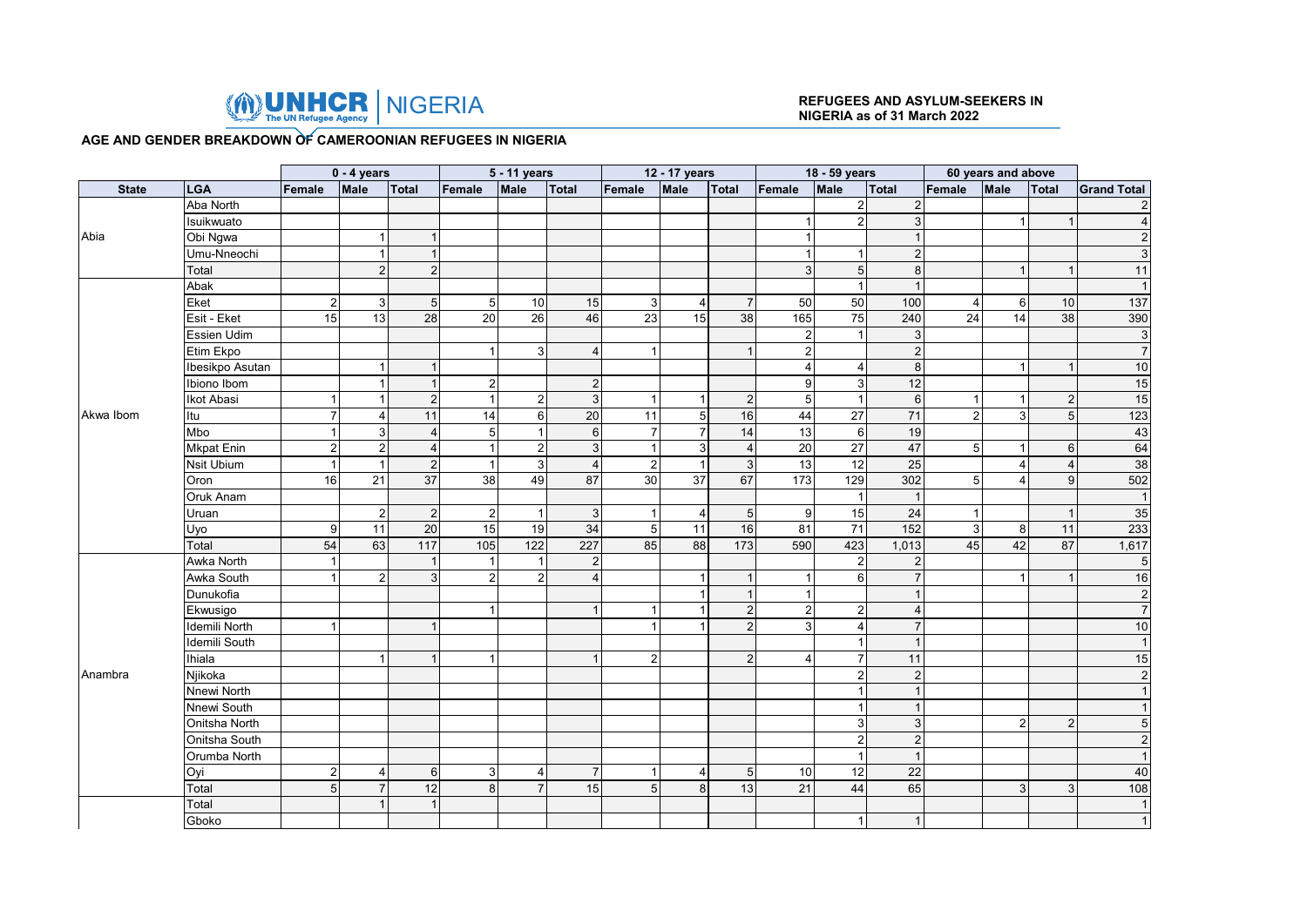

# **NIGERIA as of 31 March 2022**

#### **AGE AND GENDER BREAKDOWN OF CAMEROONIAN REFUGEES IN NIGERIA**

|              |                   |                | $0 - 4$ years  |                 |                 | 5 - 11 years        |                 |                 | 12 - 17 years  |                 |                 | 18 - 59 years             |                           |                           | 60 years and above |                |                    |
|--------------|-------------------|----------------|----------------|-----------------|-----------------|---------------------|-----------------|-----------------|----------------|-----------------|-----------------|---------------------------|---------------------------|---------------------------|--------------------|----------------|--------------------|
| <b>State</b> | <b>LGA</b>        | Female         | Male           | Total           | Female          | Male                | Total           | Female          | Male           | Total           | Female          | Male                      | Total                     | Female                    | Male               | Total          | <b>Grand Total</b> |
|              | Aba North         |                |                |                 |                 |                     |                 |                 |                |                 |                 | $\sqrt{2}$                | $\sqrt{2}$                |                           |                    |                | $\sqrt{2}$         |
|              | Isuikwuato        |                |                |                 |                 |                     |                 |                 |                |                 |                 | $\overline{2}$            | $\overline{3}$            |                           | 1                  |                | $\overline{4}$     |
| Abia         | Obi Ngwa          |                | -1             |                 |                 |                     |                 |                 |                |                 |                 |                           | $\mathbf{1}$              |                           |                    |                | 2                  |
|              | Umu-Nneochi       |                | $\mathbf{1}$   |                 |                 |                     |                 |                 |                |                 |                 | $\mathbf 1$               | $\overline{2}$            |                           |                    |                | 3                  |
|              | Total             |                | 2              | $\overline{2}$  |                 |                     |                 |                 |                |                 | 3               | $5\phantom{.0}$           | 8                         |                           | -1                 |                | 11                 |
|              | Abak              |                |                |                 |                 |                     |                 |                 |                |                 |                 | $\mathbf{1}$              | $\overline{1}$            |                           |                    |                |                    |
|              | Eket              | $\overline{a}$ | $\mathbf{3}$   | 5 <sub>5</sub>  | 5               | 10                  | 15              | $\mathbf{3}$    | $\overline{4}$ | $\overline{7}$  | 50              | 50                        | 100                       | $\overline{\mathbf{4}}$   | 6                  | 10             | 137                |
|              | Esit - Eket       | 15             | 13             | 28              | 20              | 26                  | 46              | 23              | 15             | 38              | 165             | 75                        | 240                       | 24                        | 14                 | 38             | 390                |
|              | Essien Udim       |                |                |                 |                 |                     |                 |                 |                |                 | $\overline{2}$  | $\mathbf 1$               | $\mathbf{3}$              |                           |                    |                | $\mathbf{3}$       |
|              | Etim Ekpo         |                |                |                 |                 | 3 <sup>1</sup>      | $\overline{4}$  | $\mathbf{1}$    |                |                 | $\overline{2}$  |                           | $\overline{2}$            |                           |                    |                | $\overline{7}$     |
|              | Ibesikpo Asutan   |                | $\overline{1}$ |                 |                 |                     |                 |                 |                |                 | 4               | $\overline{4}$            | $\,8\,$                   |                           | 1                  |                | 10                 |
|              | Ibiono Ibom       |                |                |                 | $\overline{c}$  |                     | $\overline{2}$  |                 |                |                 | $\mathbf{g}$    | $\mathsf 3$               | 12                        |                           |                    |                | 15                 |
|              | Ikot Abasi        |                |                | $\overline{2}$  |                 | 2                   | $\mathbf{3}$    | $\overline{1}$  | -1             | $\overline{2}$  | $5\overline{)}$ | $\mathbf{1}$              | $6\phantom{1}$            | -1                        |                    | $\overline{2}$ | 15                 |
| Akwa Ibom    | Itu               | $\overline{7}$ | 4              | 11              | 14              | $\overline{6}$      | 20              | 11              | 5              | 16              | 44              | $\overline{27}$           | 71                        | $\overline{2}$            | $\overline{3}$     | 5              | 123                |
|              | Mbo               |                | $\mathbf{3}$   | 4               | $5\overline{)}$ | $\vert$ 1           | $6\phantom{1}6$ | $\overline{7}$  | $\overline{7}$ | 14              | 13              | $\,6\,$                   | 19                        |                           |                    |                | 43                 |
|              | <b>Mkpat Enin</b> | $\overline{2}$ | $\overline{2}$ | 4               |                 | $\overline{2}$      | $\mathbf{3}$    | $\overline{1}$  | $\mathbf{3}$   | $\overline{4}$  | 20              | 27                        | 47                        | 5                         |                    | 6              | 64                 |
|              | <b>Nsit Ubium</b> |                |                | $\overline{2}$  | 1               | $\overline{\omega}$ | $\overline{4}$  | $\overline{2}$  | $\mathbf{1}$   | 3               | 13              | 12                        | 25                        |                           | Δ                  | $\overline{4}$ | 38                 |
|              | Oron              | 16             | 21             | 37              | 38              | 49                  | 87              | 30              | 37             | 67              | 173             | 129                       | 302                       | 5                         |                    | 9              | 502                |
|              | Oruk Anam         |                |                |                 |                 |                     |                 |                 |                |                 |                 | $\mathbf{1}$              | $\mathbf{1}$              |                           |                    |                | $\overline{1}$     |
|              | Uruan             |                | 2 <sub>l</sub> | 2               | $\overline{2}$  | $\mathbf{1}$        | 3               | -1              | 4              | $5\overline{)}$ | 9               | 15                        | 24                        | 1                         |                    |                | 35                 |
|              | Uyo               | $\overline{9}$ | 11             | $\overline{20}$ | 15              | 19                  | 34              | $5\phantom{.0}$ | 11             | 16              | 81              | 71                        | 152                       | $\ensuremath{\mathsf{3}}$ | 8                  | 11             | 233                |
|              | Total             | 54             | 63             | 117             | 105             | $122$               | 227             | 85              | 88             | 173             | 590             | 423                       | 1,013                     | 45                        | 42                 | 87             | 1,617              |
|              | Awka North        |                |                |                 |                 | $\mathbf{1}$        | $\overline{2}$  |                 |                |                 |                 | $\sqrt{2}$                | $\mathbf{2}$              |                           |                    |                | $5\phantom{.0}$    |
|              | Awka South        |                | $\overline{2}$ | 3               | $\overline{2}$  | 2                   | $\overline{4}$  |                 |                |                 |                 | 6                         | $\overline{7}$            |                           |                    |                | 16                 |
|              | Dunukofia         |                |                |                 |                 |                     |                 |                 | 1              |                 |                 |                           | $\mathbf{1}$              |                           |                    |                | $\overline{2}$     |
|              | Ekwusigo          |                |                |                 |                 |                     |                 | -1              |                | $\overline{2}$  | $\overline{2}$  | $\sqrt{2}$                | $\overline{4}$            |                           |                    |                | $\overline{7}$     |
|              | Idemili North     | 1              |                |                 |                 |                     |                 | -1              |                | 2 <sub>l</sub>  | $\mathbf{3}$    | $\overline{\mathbf{4}}$   | $\overline{7}$            |                           |                    |                | 10                 |
|              | Idemili South     |                |                |                 |                 |                     |                 |                 |                |                 |                 | $\overline{1}$            | $\overline{1}$            |                           |                    |                |                    |
|              | <b>Ihiala</b>     |                |                |                 | 1               |                     |                 | $\overline{2}$  |                | $\overline{2}$  |                 | $\overline{7}$            | 11                        |                           |                    |                | 15                 |
| Anambra      | Njikoka           |                |                |                 |                 |                     |                 |                 |                |                 |                 | $\sqrt{2}$                | $\overline{2}$            |                           |                    |                | $\sqrt{2}$         |
|              | Nnewi North       |                |                |                 |                 |                     |                 |                 |                |                 |                 | $\mathbf{1}$              | $\overline{1}$            |                           |                    |                |                    |
|              | Nnewi South       |                |                |                 |                 |                     |                 |                 |                |                 |                 | $\mathbf{1}$              | $\mathbf{1}$              |                           |                    |                | $\overline{1}$     |
|              | Onitsha North     |                |                |                 |                 |                     |                 |                 |                |                 |                 | $\ensuremath{\mathsf{3}}$ | $\ensuremath{\mathsf{3}}$ |                           | $\overline{2}$     | $\overline{2}$ | 5                  |
|              | Onitsha South     |                |                |                 |                 |                     |                 |                 |                |                 |                 | $\mathbf 2$               | $\overline{2}$            |                           |                    |                | $\overline{2}$     |
|              | Orumba North      |                |                |                 |                 |                     |                 |                 |                |                 |                 | $\mathbf{1}$              | $\mathbf{1}$              |                           |                    |                | $\overline{1}$     |
|              | Oyi               | $\overline{c}$ | $\overline{4}$ | 6               | 3               | $\overline{4}$      | $\overline{7}$  | -1              | $\overline{4}$ | 5               | $10$            | $\overline{12}$           | 22                        |                           |                    |                | 40                 |
|              | Total             | 5              | $\overline{7}$ | 12              | 8               | $\overline{7}$      | 15              | 5 <sub>1</sub>  | 8              | 13              | 21              | 44                        | 65                        |                           | $\mathbf{3}$       | 3              | 108                |
|              | Total             |                |                | $\mathbf{1}$    |                 |                     |                 |                 |                |                 |                 |                           |                           |                           |                    |                | $\overline{1}$     |
|              | Gboko             |                |                |                 |                 |                     |                 |                 |                |                 |                 | $\mathbf{1}$              | $\mathbf{1}$              |                           |                    |                | $\mathbf{1}$       |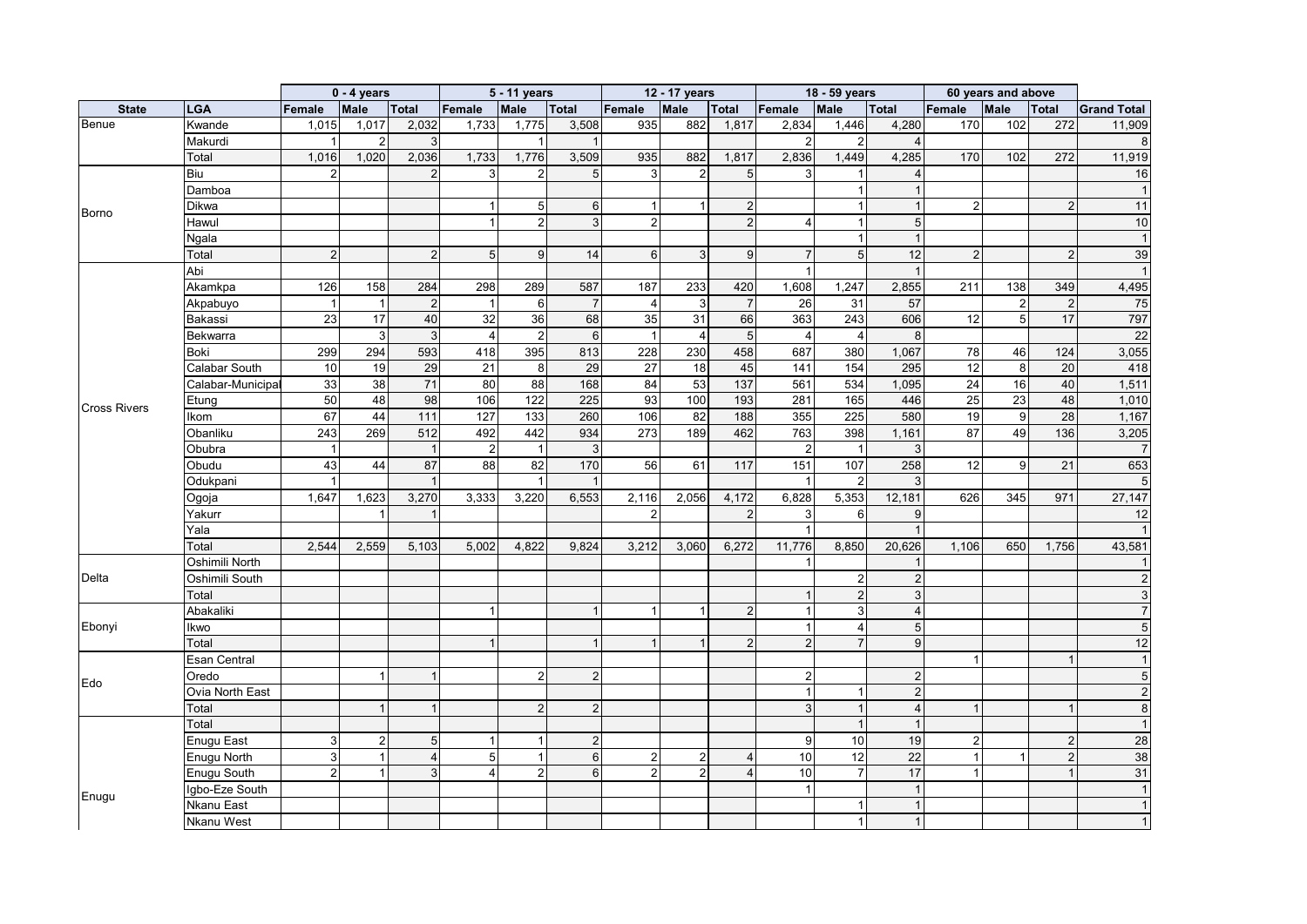|                     |                   |                 | $0 - 4$ years    |                |                | 5 - 11 years     |                 |                | 12 - 17 years  |                 |                | 18 - 59 years    |                           |                  | 60 years and above |                |                    |
|---------------------|-------------------|-----------------|------------------|----------------|----------------|------------------|-----------------|----------------|----------------|-----------------|----------------|------------------|---------------------------|------------------|--------------------|----------------|--------------------|
| <b>State</b>        | <b>LGA</b>        | Female          | Male             | <b>Total</b>   | Female         | Male             | <b>Total</b>    | Female         | Male           | <b>Total</b>    | Female         | <b>Male</b>      | <b>Total</b>              | Female           | Male               | <b>Total</b>   | <b>Grand Total</b> |
| Benue               | Kwande            | 1,015           | 1,017            | 2,032          | 1,733          | 1,775            | 3,508           | 935            | 882            | 1,817           | 2,834          | 1,446            | 4,280                     | 170              | 102                | 272            | 11,909             |
|                     | Makurdi           |                 | $2 \overline{2}$ | 3              |                | $\mathbf{1}$     |                 |                |                |                 | $\overline{2}$ | $\overline{2}$   | 4                         |                  |                    |                | 8                  |
|                     | Total             | 1,016           | 1,020            | 2,036          | 1,733          | 1,776            | 3,509           | 935            | 882            | 1,817           | 2,836          | 1,449            | 4,285                     | 170              | 102                | 272            | 11,919             |
|                     | Biu               |                 |                  |                |                | $\overline{2}$   | 5               | 3              | $\overline{2}$ | 5               | 3              | 1                | 4                         |                  |                    |                | 16                 |
|                     | Damboa            |                 |                  |                |                |                  |                 |                |                |                 |                | $\overline{1}$   | $\mathbf{1}$              |                  |                    |                |                    |
|                     | Dikwa             |                 |                  |                |                | 5 <sub>1</sub>   | 6               | $\mathbf{1}$   | -1             | 2               |                | $\mathbf{1}$     | $\overline{1}$            | $\boldsymbol{2}$ |                    | $\overline{2}$ | 11                 |
| <b>Borno</b>        | Hawul             |                 |                  |                |                | 2 <sup>1</sup>   | 3               | $\overline{2}$ |                | $\mathfrak{p}$  | 4              | $\overline{1}$   | $\sqrt{5}$                |                  |                    |                | 10                 |
|                     | Ngala             |                 |                  |                |                |                  |                 |                |                |                 |                | $\mathbf{1}$     | $\overline{1}$            |                  |                    |                |                    |
|                     | Total             | $\overline{2}$  |                  | $\overline{2}$ | 5              | 9                | 14              | 6              | 3              | 9               | $\overline{7}$ | 5                | 12                        | $\overline{2}$   |                    | $\overline{2}$ | 39                 |
|                     | Abi               |                 |                  |                |                |                  |                 |                |                |                 |                |                  | $\overline{1}$            |                  |                    |                |                    |
|                     | Akamkpa           | 126             | 158              | 284            | 298            | 289              | 587             | 187            | 233            | 420             | 1,608          | 1,247            | 2,855                     | 211              | 138                | 349            | 4,495              |
|                     | Akpabuyo          |                 | -1               | $\overline{2}$ | 1              | $6 \overline{6}$ | $\overline{7}$  | $\overline{4}$ | 3              | $\overline{7}$  | 26             | 31               | 57                        |                  | $\overline{2}$     | $\overline{2}$ | 75                 |
|                     | Bakassi           | $\overline{23}$ | 17               | 40             | 32             | 36               | 68              | 35             | 31             | 66              | 363            | 243              | 606                       | 12               | 5 <sup>1</sup>     | 17             | 797                |
|                     | Bekwarra          |                 | $\mathbf{3}$     | 3              | $\overline{4}$ | $\overline{2}$   | 6               | $\overline{1}$ | $\overline{4}$ | $5\overline{)}$ | $\overline{4}$ | $\overline{4}$   | 8                         |                  |                    |                | 22                 |
|                     | Boki              | 299             | 294              | 593            | 418            | 395              | 813             | 228            | 230            | 458             | 687            | 380              | 1,067                     | 78               | 46                 | 124            | 3,055              |
|                     | Calabar South     | 10              | 19               | 29             | 21             | 8                | 29              | 27             | 18             | 45              | 141            | 154              | 295                       | $\overline{12}$  | 8                  | 20             | 418                |
|                     | Calabar-Municipal | 33              | 38               | 71             | 80             | 88               | 168             | 84             | 53             | 137             | 561            | 534              | 1,095                     | 24               | 16                 | 40             | 1,511              |
|                     | Etung             | 50              | 48               | 98             | 106            | $\frac{1}{22}$   | 225             | 93             | 100            | 193             | 281            | 165              | 446                       | 25               | $\overline{23}$    | 48             | 1,010              |
| <b>Cross Rivers</b> | Ikom              | 67              | 44               | 111            | 127            | 133              | 260             | 106            | 82             | 188             | 355            | 225              | 580                       | 19               | 9                  | 28             | 1,167              |
|                     | Obanliku          | 243             | 269              | 512            | 492            | 442              | 934             | 273            | 189            | 462             | 763            | 398              | 1,161                     | 87               | 49                 | 136            | 3,205              |
|                     | Obubra            | $\mathbf{1}$    |                  | $\mathbf{1}$   | $\mathbf 2$    | $\mathbf{1}$     | 3               |                |                |                 | $\overline{2}$ | $\mathbf{1}$     | 3                         |                  |                    |                | $\overline{7}$     |
|                     | Obudu             | 43              | 44               | 87             | 88             | 82               | 170             | 56             | 61             | 117             | 151            | 107              | 258                       | 12               | 9                  | 21             | 653                |
|                     | Odukpani          |                 |                  |                |                | $\overline{1}$   |                 |                |                |                 |                | $\overline{2}$   | 3                         |                  |                    |                | 5                  |
|                     | Ogoja             | 1,647           | 1,623            | 3,270          | 3,333          | 3,220            | 6,553           | 2,116          | 2,056          | 4,172           | 6,828          | 5,353            | 12,181                    | 626              | 345                | 971            | 27,147             |
|                     | Yakurr            |                 |                  | -1             |                |                  |                 | $\mathfrak{p}$ |                | 2               | $\mathbf{3}$   | $6 \,$           | 9                         |                  |                    |                | 12                 |
|                     | Yala              |                 |                  |                |                |                  |                 |                |                |                 |                |                  | $\overline{1}$            |                  |                    |                |                    |
|                     | Total             | 2,544           | 2,559            | 5,103          | 5,002          | 4,822            | 9,824           | 3,212          | 3,060          | 6,272           | 11,776         | 8,850            | 20,626                    | 1,106            | 650                | 1,756          | 43,581             |
|                     | Oshimili North    |                 |                  |                |                |                  |                 |                |                |                 |                |                  | 1                         |                  |                    |                |                    |
| Delta               | Oshimili South    |                 |                  |                |                |                  |                 |                |                |                 |                | $\overline{c}$   | $\sqrt{2}$                |                  |                    |                |                    |
|                     | Total             |                 |                  |                |                |                  |                 |                |                |                 |                | $\mathbf 2$      | $\ensuremath{\mathsf{3}}$ |                  |                    |                |                    |
|                     | Abakaliki         |                 |                  |                |                |                  |                 | 1              |                | $\mathfrak{p}$  |                | $\mathbf{3}$     | $\overline{4}$            |                  |                    |                |                    |
| Ebonyi              | Ikwo              |                 |                  |                |                |                  |                 |                |                |                 |                | $\overline{4}$   | 5                         |                  |                    |                |                    |
|                     | Total             |                 |                  |                |                |                  | $\mathbf{1}$    | $\overline{1}$ |                | $\overline{2}$  | 2 <sub>l</sub> | $\overline{7}$   | 9                         |                  |                    |                | 12                 |
|                     | Esan Central      |                 |                  |                |                |                  |                 |                |                |                 |                |                  |                           | $\mathbf{1}$     |                    |                |                    |
|                     | Oredo             |                 |                  |                |                | 2                | $\overline{2}$  |                |                |                 | $\overline{2}$ |                  | $\overline{c}$            |                  |                    |                | 5                  |
| Edo                 | Ovia North East   |                 |                  |                |                |                  |                 |                |                |                 |                | $\overline{1}$   | $\overline{2}$            |                  |                    |                | $\overline{2}$     |
|                     | Total             |                 |                  |                |                | 2 <sup>1</sup>   | $\overline{2}$  |                |                |                 | $\mathbf{3}$   | $\mathbf{1}$     | $\overline{4}$            | $\mathbf{1}$     |                    |                | 8                  |
|                     | Total             |                 |                  |                |                |                  |                 |                |                |                 |                | $\mathbf{1}$     | $\overline{1}$            |                  |                    |                |                    |
|                     |                   | 3               |                  |                |                | $\mathbf{1}$     | $\overline{2}$  |                |                |                 | 9              | 10               | 19                        | $\overline{2}$   |                    | $\overline{2}$ | 28                 |
|                     | Enugu East        |                 | $\overline{2}$   | 5              |                |                  |                 |                |                |                 |                |                  |                           |                  |                    |                |                    |
|                     | Enugu North       | $\overline{3}$  | $\mathbf{1}$     | 4              | 5              | $\mathbf{1}$     | $6\phantom{1}$  | $\overline{2}$ | $\overline{2}$ |                 | 10             | 12               | 22                        | $\mathbf{1}$     | $\overline{1}$     | $\overline{2}$ | 38                 |
|                     | Enugu South       | 2               |                  | 3              | 4              | $2 \overline{2}$ | $6\phantom{1}6$ | $\overline{2}$ | $\overline{2}$ |                 | 10             | $\boldsymbol{7}$ | 17                        | 1                |                    |                | 31                 |
| Enugu               | Igbo-Eze South    |                 |                  |                |                |                  |                 |                |                |                 |                |                  | $\overline{1}$            |                  |                    |                |                    |
|                     | Nkanu East        |                 |                  |                |                |                  |                 |                |                |                 |                | 1                | $\overline{1}$            |                  |                    |                |                    |
|                     | <b>Nkanu West</b> |                 |                  |                |                |                  |                 |                |                |                 |                | $\mathbf{1}$     | $\mathbf{1}$              |                  |                    |                |                    |